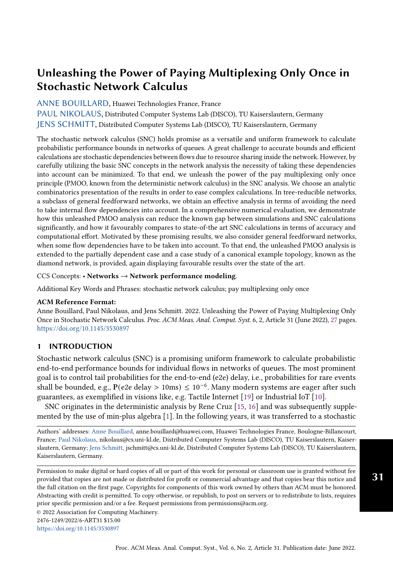## [ANNE BOUILLARD,](HTTPS://ORCID.ORG/0000-0002-3345-4653) Huawei Technologies France, France

[PAUL NIKOLAUS,](HTTPS://ORCID.ORG/0000-0001-5277-0267) Distributed Computer Systems Lab (DISCO), TU Kaiserslautern, Germany [JENS SCHMITT,](HTTPS://ORCID.ORG/0000-0002-3066-4305) Distributed Computer Systems Lab (DISCO), TU Kaiserslautern, Germany

The stochastic network calculus (SNC) holds promise as a versatile and uniform framework to calculate probabilistic performance bounds in networks of queues. A great challenge to accurate bounds and efficient calculations are stochastic dependencies between flows due to resource sharing inside the network. However, by carefully utilizing the basic SNC concepts in the network analysis the necessity of taking these dependencies into account can be minimized. To that end, we unleash the power of the pay multiplexing only once principle (PMOO, known from the deterministic network calculus) in the SNC analysis. We choose an analytic combinatorics presentation of the results in order to ease complex calculations. In tree-reducible networks, a subclass of general feedforward networks, we obtain an effective analysis in terms of avoiding the need to take internal flow dependencies into account. In a comprehensive numerical evaluation, we demonstrate how this unleashed PMOO analysis can reduce the known gap between simulations and SNC calculations significantly, and how it favourably compares to state-of-the art SNC calculations in terms of accuracy and computational effort. Motivated by these promising results, we also consider general feedforward networks, when some flow dependencies have to be taken into account. To that end, the unleashed PMOO analysis is extended to the partially dependent case and a case study of a canonical example topology, known as the diamond network, is provided, again displaying favourable results over the state of the art.

## CCS Concepts: • Networks  $\rightarrow$  Network performance modeling.

Additional Key Words and Phrases: stochastic network calculus; pay multiplexing only once

#### ACM Reference Format:

Anne Bouillard, Paul Nikolaus, and Jens Schmitt. 2022. Unleashing the Power of Paying Multiplexing Only Once in Stochastic Network Calculus. Proc. ACM Meas. Anal. Comput. Syst. 6, 2, Article 31 (June 2022), [27](#page-26-0) pages. <https://doi.org/10.1145/3530897>

## <span id="page-0-0"></span>1 INTRODUCTION

Stochastic network calculus (SNC) is a promising uniform framework to calculate probabilistic end-to-end performance bounds for individual flows in networks of queues. The most prominent goal is to control tail probabilities for the end-to-end (e2e) delay, i.e., probabilities for rare events shall be bounded, e.g., P(e2e delay > 10ms) ≤ 10−<sup>6</sup> . Many modern systems are eager after such guarantees, as exemplified in visions like, e.g. Tactile Internet [\[19\]](#page-20-0) or Industrial IoT [\[10\]](#page-20-1).

SNC originates in the deterministic analysis by Rene Cruz [\[15,](#page-20-2) [16\]](#page-20-3) and was subsequently supplemented by the use of min-plus algebra [\[1\]](#page-20-4). In the following years, it was transferred to a stochastic

Authors' addresses: [Anne Bouillard,](https://orcid.org/0000-0002-3345-4653) anne.bouillard@huawei.com, Huawei Technologies France, Boulogne-Billancourt, France; [Paul Nikolaus,](https://orcid.org/0000-0001-5277-0267) nikolaus@cs.uni-kl.de, Distributed Computer Systems Lab (DISCO), TU Kaiserslautern, Kaiserslautern, Germany; [Jens Schmitt,](https://orcid.org/0000-0002-3066-4305) jschmitt@cs.uni-kl.de, Distributed Computer Systems Lab (DISCO), TU Kaiserslautern, Kaiserslautern, Germany.

Permission to make digital or hard copies of all or part of this work for personal or classroom use is granted without fee provided that copies are not made or distributed for profit or commercial advantage and that copies bear this notice and the full citation on the first page. Copyrights for components of this work owned by others than ACM must be honored. Abstracting with credit is permitted. To copy otherwise, or republish, to post on servers or to redistribute to lists, requires prior specific permission and/or a fee. Request permissions from permissions@acm.org.

© 2022 Association for Computing Machinery.

2476-1249/2022/6-ART31 \$15.00

<https://doi.org/10.1145/3530897>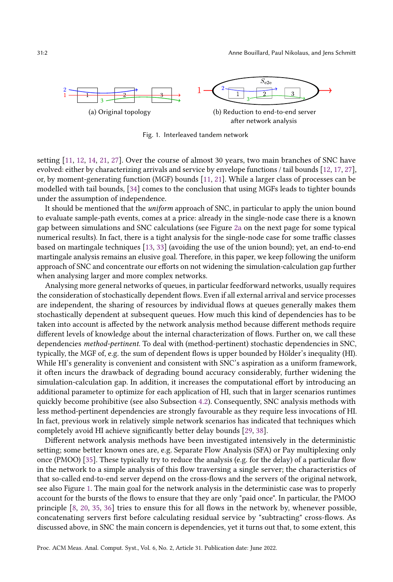<span id="page-1-1"></span><span id="page-1-0"></span>

Fig. 1. Interleaved tandem network

setting [\[11,](#page-20-5) [12,](#page-20-6) [14,](#page-20-7) [21,](#page-20-8) [27\]](#page-20-9). Over the course of almost 30 years, two main branches of SNC have evolved: either by characterizing arrivals and service by envelope functions / tail bounds [\[12,](#page-20-6) [17,](#page-20-10) [27\]](#page-20-9), or, by moment-generating function (MGF) bounds [\[11,](#page-20-5) [21\]](#page-20-8). While a larger class of processes can be modelled with tail bounds, [\[34\]](#page-21-0) comes to the conclusion that using MGFs leads to tighter bounds under the assumption of independence.

It should be mentioned that the uniform approach of SNC, in particular to apply the union bound to evaluate sample-path events, comes at a price: already in the single-node case there is a known gap between simulations and SNC calculations (see Figure [2a](#page-2-0) on the next page for some typical numerical results). In fact, there is a tight analysis for the single-node case for some traffic classes based on martingale techniques [\[13,](#page-20-11) [33\]](#page-21-1) (avoiding the use of the union bound); yet, an end-to-end martingale analysis remains an elusive goal. Therefore, in this paper, we keep following the uniform approach of SNC and concentrate our efforts on not widening the simulation-calculation gap further when analysing larger and more complex networks.

Analysing more general networks of queues, in particular feedforward networks, usually requires the consideration of stochastically dependent flows. Even if all external arrival and service processes are independent, the sharing of resources by individual flows at queues generally makes them stochastically dependent at subsequent queues. How much this kind of dependencies has to be taken into account is affected by the network analysis method because different methods require different levels of knowledge about the internal characterization of flows. Further on, we call these dependencies method-pertinent. To deal with (method-pertinent) stochastic dependencies in SNC, typically, the MGF of, e.g. the sum of dependent flows is upper bounded by Hölder's inequality (HI). While HI's generality is convenient and consistent with SNC's aspiration as a uniform framework, it often incurs the drawback of degrading bound accuracy considerably, further widening the simulation-calculation gap. In addition, it increases the computational effort by introducing an additional parameter to optimize for each application of HI, such that in larger scenarios runtimes quickly become prohibitive (see also Subsection [4.2\)](#page-14-0). Consequently, SNC analysis methods with less method-pertinent dependencies are strongly favourable as they require less invocations of HI. In fact, previous work in relatively simple network scenarios has indicated that techniques which completely avoid HI achieve significantly better delay bounds [\[29,](#page-20-12) [38\]](#page-21-2).

Different network analysis methods have been investigated intensively in the deterministic setting; some better known ones are, e.g. Separate Flow Analysis (SFA) or Pay multiplexing only once (PMOO) [\[35\]](#page-21-3). These typically try to reduce the analysis (e.g. for the delay) of a particular flow in the network to a simple analysis of this flow traversing a single server; the characteristics of that so-called end-to-end server depend on the cross-flows and the servers of the original network, see also Figure [1.](#page-1-0) The main goal for the network analysis in the deterministic case was to properly account for the bursts of the flows to ensure that they are only "paid once". In particular, the PMOO principle [\[8,](#page-20-13) [20,](#page-20-14) [35,](#page-21-3) [36\]](#page-21-4) tries to ensure this for all flows in the network by, whenever possible, concatenating servers first before calculating residual service by "subtracting" cross-flows. As discussed above, in SNC the main concern is dependencies, yet it turns out that, to some extent, this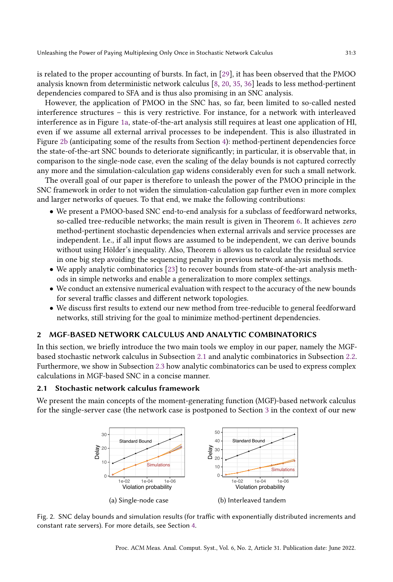is related to the proper accounting of bursts. In fact, in [\[29\]](#page-20-12), it has been observed that the PMOO analysis known from deterministic network calculus [\[8,](#page-20-13) [20,](#page-20-14) [35,](#page-21-3) [36\]](#page-21-4) leads to less method-pertinent dependencies compared to SFA and is thus also promising in an SNC analysis.

However, the application of PMOO in the SNC has, so far, been limited to so-called nested interference structures – this is very restrictive. For instance, for a network with interleaved interference as in Figure [1a,](#page-1-1) state-of-the-art analysis still requires at least one application of HI, even if we assume all external arrival processes to be independent. This is also illustrated in Figure [2b](#page-2-1) (anticipating some of the results from Section [4\)](#page-13-0): method-pertinent dependencies force the state-of-the-art SNC bounds to deteriorate significantly; in particular, it is observable that, in comparison to the single-node case, even the scaling of the delay bounds is not captured correctly any more and the simulation-calculation gap widens considerably even for such a small network.

The overall goal of our paper is therefore to unleash the power of the PMOO principle in the SNC framework in order to not widen the simulation-calculation gap further even in more complex and larger networks of queues. To that end, we make the following contributions:

- We present a PMOO-based SNC end-to-end analysis for a subclass of feedforward networks, so-called tree-reducible networks; the main result is given in Theorem [6.](#page-9-0) It achieves zero method-pertinent stochastic dependencies when external arrivals and service processes are independent. I.e., if all input flows are assumed to be independent, we can derive bounds without using Hölder's inequality. Also, Theorem [6](#page-9-0) allows us to calculate the residual service in one big step avoiding the sequencing penalty in previous network analysis methods.
- We apply analytic combinatorics [\[23\]](#page-20-15) to recover bounds from state-of-the-art analysis methods in simple networks and enable a generalization to more complex settings.
- We conduct an extensive numerical evaluation with respect to the accuracy of the new bounds for several traffic classes and different network topologies.
- We discuss first results to extend our new method from tree-reducible to general feedforward networks, still striving for the goal to minimize method-pertinent dependencies.

## <span id="page-2-3"></span>2 MGF-BASED NETWORK CALCULUS AND ANALYTIC COMBINATORICS

In this section, we briefly introduce the two main tools we employ in our paper, namely the MGFbased stochastic network calculus in Subsection [2.1](#page-2-2) and analytic combinatorics in Subsection [2.2.](#page-4-0) Furthermore, we show in Subsection [2.3](#page-5-0) how analytic combinatorics can be used to express complex calculations in MGF-based SNC in a concise manner.

## <span id="page-2-2"></span>2.1 Stochastic network calculus framework

<span id="page-2-0"></span>We present the main concepts of the moment-generating function (MGF)-based network calculus for the single-server case (the network case is postponed to Section [3](#page-7-0) in the context of our new

<span id="page-2-1"></span>

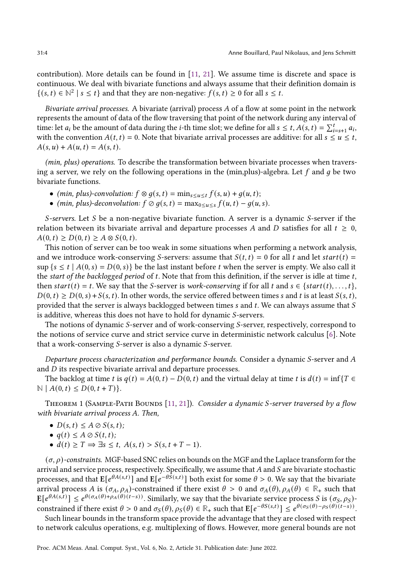contribution). More details can be found in [\[11,](#page-20-5) [21\]](#page-20-8). We assume time is discrete and space is continuous. We deal with bivariate functions and always assume that their definition domain is {(s, t) ∈  $\mathbb{N}^2$  | s ≤ t} and that they are non-negative:  $f(s, t) \ge 0$  for all s ≤ t.

Bivariate arrival processes. A bivariate (arrival) process  $A$  of a flow at some point in the network represents the amount of data of the flow traversing that point of the network during any interval of time: let  $a_i$  be the amount of data during the *i*-th time slot; we define for all  $s \le t$ ,  $A(s, t) = \sum_{i=s+1}^t a_i$ , with the convention  $A(t, t) = 0$ . Note that bivariate arrival processes are additive: for all  $s \le u \le t$ ,  $A(s, u) + A(u, t) = A(s, t).$ 

(min, plus) operations. To describe the transformation between bivariate processes when traversing a server, we rely on the following operations in the (min, plus)-algebra. Let  $f$  and  $g$  be two bivariate functions.

- (min, plus)-convolution:  $f \otimes g(s, t) = \min_{s \le u \le t} f(s, u) + g(u, t);$
- (min, plus)-deconvolution:  $f \oslash g(s, t) = \max_{0 \le u \le s} f(u, t) g(u, s)$ .

S-servers. Let S be a non-negative bivariate function. A server is a dynamic S-server if the relation between its bivariate arrival and departure processes A and D satisfies for all  $t \geq 0$ ,  $A(0, t) \ge D(0, t) \ge A \otimes S(0, t).$ 

This notion of server can be too weak in some situations when performing a network analysis, and we introduce work-conserving S-servers: assume that  $S(t, t) = 0$  for all t and let start(t) =  $\sup \{s \le t \mid A(0, s) = D(0, s)\}\$  be the last instant before t when the server is empty. We also call it the start of the backlogged period of t. Note that from this definition, if the server is idle at time  $t$ , then  $start(t) = t$ . We say that the S-server is work-conserving if for all t and  $s \in \{start(t), \ldots, t\}$ ,  $D(0, t) \ge D(0, s) + S(s, t)$ . In other words, the service offered between times s and t is at least  $S(s, t)$ , provided that the server is always backlogged between times  $s$  and  $t$ . We can always assume that  $S$ is additive, whereas this does not have to hold for dynamic S-servers.

The notions of dynamic  $S$ -server and of work-conserving  $S$ -server, respectively, correspond to the notions of service curve and strict service curve in deterministic network calculus [\[6\]](#page-20-16). Note that a work-conserving  $S$ -server is also a dynamic  $S$ -server.

Departure process characterization and performance bounds. Consider a dynamic S-server and  $A$ and  $D$  its respective bivariate arrival and departure processes.

The backlog at time t is  $q(t) = A(0, t) - D(0, t)$  and the virtual delay at time t is  $d(t) = \inf\{T \in$  $\mathbb{N} \mid A(0, t) \leq D(0, t + T)$ .

<span id="page-3-0"></span>THEOREM 1 (SAMPLE-PATH BOUNDS  $[11, 21]$  $[11, 21]$  $[11, 21]$ ). Consider a dynamic S-server traversed by a flow with bivariate arrival process A. Then,

- $D(s, t) \leq A \oslash S(s, t);$
- $q(t) \leq A \oslash S(t, t);$
- $d(t) \geq T \Rightarrow \exists s \leq t, A(s, t) > S(s, t + T 1).$

 $(\sigma, \rho)$ -constraints. MGF-based SNC relies on bounds on the MGF and the Laplace transform for the arrival and service process, respectively. Specifically, we assume that  $A$  and  $S$  are bivariate stochastic processes, and that  $E[e^{\theta A(s,t)}]$  and  $E[e^{-\theta \hat{S}(s,t)}]$  both exist for some  $\theta > 0$ . We say that the bivariate arrival process A is  $(\sigma_A, \rho_A)$ -constrained if there exist  $\theta > 0$  and  $\sigma_A(\theta), \rho_A(\theta) \in \mathbb{R}_+$  such that  $\mathbb{E}[e^{\theta A(s,\hat{t})}] \leq e^{\theta(\sigma_A(\theta)+\rho_A(\theta)(t-s))}$ . Similarly, we say that the bivariate service process S is  $(\sigma_S, \rho_S)$ constrained if there exist  $\theta > 0$  and  $\sigma_S(\theta), \rho_S(\theta) \in \mathbb{R}_+$  such that  $\mathbb{E}[e^{-\theta S(s,t)}] \leq e^{\theta(\sigma_S(\theta) - \rho_S(\theta)(t-s))}$ .

Such linear bounds in the transform space provide the advantage that they are closed with respect to network calculus operations, e.g. multiplexing of flows. However, more general bounds are not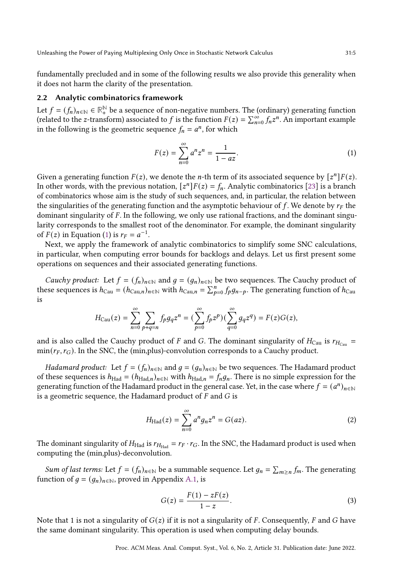fundamentally precluded and in some of the following results we also provide this generality when it does not harm the clarity of the presentation.

## <span id="page-4-0"></span>2.2 Analytic combinatorics framework

Let  $f = (f_n)_{n \in \mathbb{N}} \in \mathbb{R}^{\mathbb{N}}_+$  be a sequence of non-negative numbers. The (ordinary) generating function (related to the z-transform) associated to f is the function  $F(z) = \sum_{n=0}^{\infty} f_n z^n$ . An important example in the following is the geometric sequence  $f_n = a^n$ , for which

<span id="page-4-1"></span>
$$
F(z) = \sum_{n=0}^{\infty} a^n z^n = \frac{1}{1 - az}.
$$
 (1)

Given a generating function  $F(z)$ , we denote the *n*-th term of its associated sequence by  $[z^n]F(z)$ . In other words, with the previous notation,  $[z^n]F(z) = f_n$ . Analytic combinatorics [\[23\]](#page-20-15) is a branch of combinatorics whose aim is the study of such sequences, and, in particular, the relation between the singularities of the generating function and the asymptotic behaviour of f. We denote by  $r_F$  the dominant singularity of  $F$ . In the following, we only use rational fractions, and the dominant singularity corresponds to the smallest root of the denominator. For example, the dominant singularity of  $F(z)$  in Equation [\(1\)](#page-4-1) is  $r_F = a^{-1}$ .

Next, we apply the framework of analytic combinatorics to simplify some SNC calculations, in particular, when computing error bounds for backlogs and delays. Let us first present some operations on sequences and their associated generating functions.

*Cauchy product:* Let  $f = (f_n)_{n \in \mathbb{N}}$  and  $q = (q_n)_{n \in \mathbb{N}}$  be two sequences. The Cauchy product of these sequences is  $h_{\text{Cau}} = (h_{\text{Cau},n})_{n \in \mathbb{N}}$  with  $h_{\text{Cau},n} = \sum_{p=0}^{n} f_p g_{n-p}$ . The generating function of  $h_{\text{Cau}}$ is

$$
H_{\text{Cau}}(z)=\sum_{n=0}^\infty\sum_{p+q=n}f_p g_q z^n=(\sum_{p=0}^\infty f_p z^p)(\sum_{q=0}^\infty g_q z^q)=F(z)G(z),
$$

and is also called the Cauchy product of F and G. The dominant singularity of  $H_{\text{Cau}}$  is  $r_{H_{\text{Cau}}}$  =  $min(r_F, r_G)$ . In the SNC, the (min,plus)-convolution corresponds to a Cauchy product.

*Hadamard product:* Let  $f = (f_n)_{n \in \mathbb{N}}$  and  $q = (g_n)_{n \in \mathbb{N}}$  be two sequences. The Hadamard product of these sequences is  $h_{\text{Had}} = (h_{\text{Had},n})_{n \in \mathbb{N}}$  with  $h_{\text{Had},n} = f_n g_n$ . There is no simple expression for the generating function of the Hadamard product in the general case. Yet, in the case where  $f = (a^n)_{n \in \mathbb{N}}$ is a geometric sequence, the Hadamard product of  $F$  and  $G$  is

<span id="page-4-2"></span>
$$
H_{\text{Had}}(z) = \sum_{n=0}^{\infty} a^n g_n z^n = G(az). \tag{2}
$$

The dominant singularity of  $H_{\text{Had}}$  is  $r_{H_{\text{Had}}} = r_F \cdot r_G$ . In the SNC, the Hadamard product is used when computing the (min,plus)-deconvolution.

*Sum of last terms:* Let  $f = (f_n)_{n \in \mathbb{N}}$  be a summable sequence. Let  $g_n = \sum_{m \geq n} f_m$ . The generating function of  $g = (g_n)_{n \in \mathbb{N}}$ , proved in Appendix [A.1,](#page-21-5) is

<span id="page-4-3"></span>
$$
G(z) = \frac{F(1) - zF(z)}{1 - z}.
$$
\n(3)

Note that 1 is not a singularity of  $G(z)$  if it is not a singularity of F. Consequently, F and G have the same dominant singularity. This operation is used when computing delay bounds.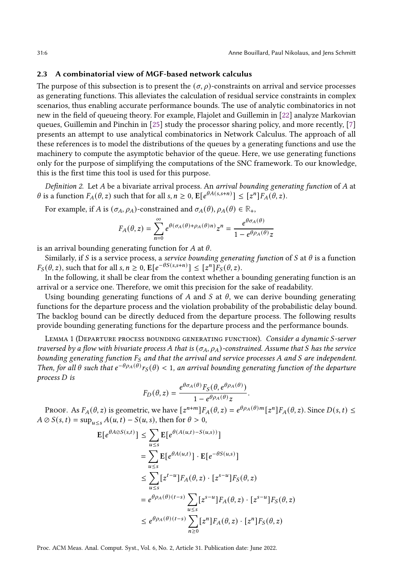### <span id="page-5-0"></span>2.3 A combinatorial view of MGF-based network calculus

The purpose of this subsection is to present the  $(\sigma, \rho)$ -constraints on arrival and service processes as generating functions. This alleviates the calculation of residual service constraints in complex scenarios, thus enabling accurate performance bounds. The use of analytic combinatorics in not new in the field of queueing theory. For example, Flajolet and Guillemin in [\[22\]](#page-20-17) analyze Markovian queues, Guillemin and Pinchin in [\[25\]](#page-20-18) study the processor sharing policy, and more recently, [\[7\]](#page-20-19) presents an attempt to use analytical combinatorics in Network Calculus. The approach of all these references is to model the distributions of the queues by a generating functions and use the machinery to compute the asymptotic behavior of the queue. Here, we use generating functions only for the purpose of simplifying the computations of the SNC framework. To our knowledge, this is the first time this tool is used for this purpose.

Definition 2. Let A be a bivariate arrival process. An arrival bounding generating function of A at  $\theta$  is a function  $F_A(\theta, z)$  such that for all  $s, n \geq 0$ ,  $\mathbb{E}[e^{\theta A(s, s+n)}] \leq [z^n]F_A(\theta, z)$ .

For example, if A is  $(\sigma_A, \rho_A)$ -constrained and  $\sigma_A(\theta), \rho_A(\theta) \in \mathbb{R}_+$ ,

$$
F_A(\theta,z)=\sum_{n=0}^\infty e^{\theta(\sigma_A(\theta)+\rho_A(\theta)n)}z^n=\frac{e^{\theta\sigma_A(\theta)}}{1-e^{\theta\rho_A(\theta)}z}
$$

is an arrival bounding generating function for  $A$  at  $\theta$ .

Similarly, if S is a service process, a service bounding generating function of S at  $\theta$  is a function  $F_S(\theta, z)$ , such that for all  $s, n \geq 0$ ,  $\mathbb{E}[e^{-\theta S(s, s+n)}] \leq [z^n]F_S(\theta, z)$ .

In the following, it shall be clear from the context whether a bounding generating function is an arrival or a service one. Therefore, we omit this precision for the sake of readability.

Using bounding generating functions of  $A$  and  $S$  at  $\theta$ , we can derive bounding generating functions for the departure process and the violation probability of the probabilistic delay bound. The backlog bound can be directly deduced from the departure process. The following results provide bounding generating functions for the departure process and the performance bounds.

<span id="page-5-1"></span>LEMMA 1 (DEPARTURE PROCESS BOUNDING GENERATING FUNCTION). Consider a dynamic S-server traversed by a flow with bivariate process A that is  $(\sigma_A, \rho_A)$ -constrained. Assume that S has the service bounding generating function  $F_S$  and that the arrival and service processes A and S are independent. Then, for all  $\theta$  such that  $e^{-\theta \rho_A(\theta)} r_S(\theta) < 1$ , an arrival bounding generating function of the departure  $process D$  is

$$
F_D(\theta, z) = \frac{e^{\theta \sigma_A(\theta)} F_S(\theta, e^{\theta \rho_A(\theta)})}{1 - e^{\theta \rho_A(\theta)} z}.
$$

PROOF. As  $F_A(\theta, z)$  is geometric, we have  $[z^{n+m}]F_A(\theta, z) = e^{\theta \rho_A(\theta)m}[z^n]F_A(\theta, z)$ . Since  $D(s, t) \leq$  $A \oslash S(s, t) = \sup_{u \leq s} A(u, t) - S(u, s)$ , then for  $\theta > 0$ ,

$$
E[e^{\theta A \oslash S(s,t)}] \leq \sum_{u \leq s} E[e^{\theta(A(u,t) - S(u,s)})]
$$
  
\n
$$
= \sum_{u \leq s} E[e^{\theta A(u,t)}] \cdot E[e^{-\theta S(u,s)}]
$$
  
\n
$$
\leq \sum_{u \leq s} [z^{t-u}] F_A(\theta, z) \cdot [z^{s-u}] F_S(\theta, z)
$$
  
\n
$$
= e^{\theta \rho_A(\theta)(t-s)} \sum_{u \leq s} [z^{s-u}] F_A(\theta, z) \cdot [z^{s-u}] F_S(\theta, z)
$$
  
\n
$$
\leq e^{\theta \rho_A(\theta)(t-s)} \sum_{n \geq 0} [z^n] F_A(\theta, z) \cdot [z^n] F_S(\theta, z)
$$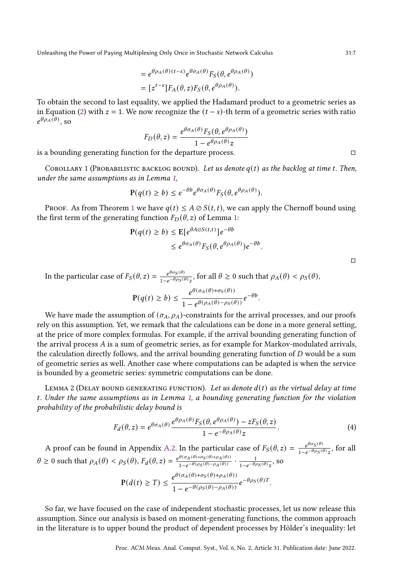$$
= e^{\theta \rho_A(\theta)(t-s)} e^{\theta \sigma_A(\theta)} F_S(\theta, e^{\theta \rho_A(\theta)})
$$

$$
= [z^{t-s}] F_A(\theta, z) F_S(\theta, e^{\theta \rho_A(\theta)}).
$$

To obtain the second to last equality, we applied the Hadamard product to a geometric series as in Equation [\(2\)](#page-4-2) with  $z = 1$ . We now recognize the  $(t - s)$ -th term of a geometric series with ratio  $e^{\theta \rho_A(\theta)}$ , so

$$
F_D(\theta, z) = \frac{e^{\theta \sigma_A(\theta)} F_S(\theta, e^{\theta \rho_A(\theta)})}{1 - e^{\theta \rho_A(\theta)} z}
$$

is a bounding generating function for the departure process.  $□$ 

<span id="page-6-0"></span>COROLLARY 1 (PROBABILISTIC BACKLOG BOUND). Let us denote  $q(t)$  as the backlog at time t. Then, under the same assumptions as in Lemma [1,](#page-5-1)

$$
\mathbf{P}(q(t) \ge b) \le e^{-\theta b} e^{\theta \sigma_A(\theta)} F_S(\theta, e^{\theta \rho_A(\theta)}).
$$

PROOF. As from Theorem [1](#page-3-0) we have  $q(t) \leq A \oslash S(t, t)$ , we can apply the Chernoff bound using the first term of the generating function  $F_D(\theta, z)$  of Lemma [1:](#page-5-1)

$$
\begin{aligned} \mathbf{P}(q(t) \ge b) &\le \mathbf{E} [e^{\theta A \oslash S(t,t)}] e^{-\theta b} \\ &\le e^{\theta \sigma_A(\theta)} F_S(\theta, e^{\theta \rho_A(\theta)}) e^{-\theta b} .\end{aligned}
$$

□

In the particular case of  $F_S(\theta, z) = \frac{e^{\theta \sigma_S(\theta)}}{1 - \theta \cos(\theta)}$  $\frac{e^{\theta \sigma_S(\theta)}}{1-e^{-\theta \rho_S(\theta)}z}$ , for all  $\theta \ge 0$  such that  $\rho_A(\theta) < \rho_S(\theta)$ ,

$$
\mathbf{P}(q(t) \ge b) \le \frac{e^{\theta(\sigma_A(\theta) + \sigma_S(\theta))}}{1 - e^{\theta(\rho_A(\theta) - \rho_S(\theta))}} e^{-\theta b}.
$$

We have made the assumption of  $(\sigma_A, \rho_A)$ -constraints for the arrival processes, and our proofs rely on this assumption. Yet, we remark that the calculations can be done in a more general setting, at the price of more complex formulas. For example, if the arrival bounding generating function of the arrival process  $A$  is a sum of geometric series, as for example for Markov-modulated arrivals, the calculation directly follows, and the arrival bounding generating function of  $D$  would be a sum of geometric series as well. Another case where computations can be adapted is when the service is bounded by a geometric series: symmetric computations can be done.

<span id="page-6-1"></span>LEMMA 2 (DELAY BOUND GENERATING FUNCTION). Let us denote  $d(t)$  as the virtual delay at time . Under the same assumptions as in Lemma [1,](#page-5-1) a bounding generating function for the violation probability of the probabilistic delay bound is

$$
F_d(\theta, z) = e^{\theta \sigma_A(\theta)} \frac{e^{\theta \rho_A(\theta)} F_S(\theta, e^{\theta \rho_A(\theta)}) - zF_S(\theta, z)}{1 - e^{-\theta \rho_A(\theta)} z}.
$$
(4)

A proof can be found in Appendix [A.2.](#page-21-6) In the particular case of  $F_S(\theta, z) = \frac{e^{\theta \sigma_S(\theta)}}{1 - e^{\theta \rho_C(\theta)}}$  $\frac{e^{\theta \sigma_S(\theta)}}{1-e^{-\theta \rho_S(\theta)}z}$ , for all  $\theta \ge 0$  such that  $\rho_A(\theta) < \rho_S(\theta)$ ,  $F_d(\theta, z) = \frac{e^{\theta(\sigma_A(\theta) + \sigma_S(\theta) + \rho_A(\theta))}}{1 - e^{\theta(\rho_S(\theta) - \rho_A(\theta))}}$  $\frac{\theta(\sigma_A(\theta)+\sigma_S(\theta)+\rho_A(\theta))}{1-e^{-\theta(\rho_S(\theta)-\rho_A(\theta))}}\cdot\frac{1}{1-e^{-\theta\rho}}$  $\frac{1}{1-e^{-\theta \rho_S(\theta)}z}$ , so  $\mathbf{P}(d(t) \geq T) \leq \frac{e^{\theta(\sigma_A(\theta) + \sigma_S(\theta) + \rho_A(\theta))}}{e^{\theta(\sigma_A(\theta) - \sigma_S(\theta))}}$  $\frac{e^{-(\phi_A(\theta))^2} \cos(\theta) + \rho_A(\theta))}{1 - e^{-\theta(\rho_S(\theta) - \rho_A(\theta))}} e^{-\theta \rho_S(\theta) T}.$ 

So far, we have focused on the case of independent stochastic processes, let us now release this assumption. Since our analysis is based on moment-generating functions, the common approach in the literature is to upper bound the product of dependent processes by Hölder's inequality: let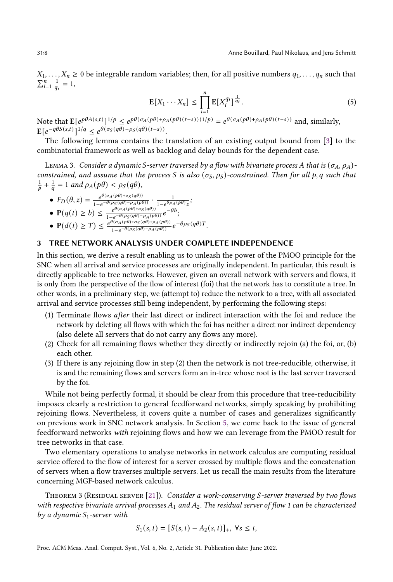$X_1, \ldots, X_n \geq 0$  be integrable random variables; then, for all positive numbers  $q_1, \ldots, q_n$  such that  $\sum_{i=1}^{n} \frac{1}{q_i} = 1,$ 

$$
\mathbb{E}[X_1 \cdots X_n] \le \prod_{i=1}^n \mathbb{E}[X_i^{q_i}]^{\frac{1}{q_i}}.
$$
\n
$$
(5)
$$

Note that  $\mathbb{E}[e^{p\theta A(s,t)}]^{1/p} \leq e^{p\theta(\sigma_A(p\theta)+\rho_A(p\theta)(t-s))(1/p)} = e^{\theta(\sigma_A(p\theta)+\rho_A(p\theta)(t-s))}$  and, similarly,  $\mathbb{E}[e^{-q\theta S(s,t)}]^{1/q} \leq e^{\theta(\sigma_S(q\theta) - \rho_S(q\theta)(t-s))}.$ 

The following lemma contains the translation of an existing output bound from [\[3\]](#page-20-20) to the combinatorial framework as well as backlog and delay bounds for the dependent case.

LEMMA 3. Consider a dynamic S-server traversed by a flow with bivariate process A that is  $(\sigma_A, \rho_A)$ constrained, and assume that the process S is also  $(\sigma_S, \rho_S)$ -constrained. Then for all p, q such that  $\frac{1}{p} + \frac{1}{q} = 1$  and  $\rho_A(p\theta) < \rho_S(q\theta)$ ,

•  $F_D(\theta, z) = \frac{e^{\theta(\sigma_A(p\theta) + \sigma_S(q\theta))}}{1 - e^{\theta(\rho_S(q\theta) - \rho_A(p\theta))}}$  $\frac{e^{\theta(\sigma_A(p\theta)+\sigma_S(q\theta))}}{1-e^{-\theta(\rho_S(q\theta)-\rho_A(p\theta))}}\cdot\frac{1}{1-e^{\theta\rho_A}}$  $\frac{1}{1-e^{\theta \rho_A(p\theta)}z};$ •  $P(q(t) \ge b) \le \frac{e^{\theta(\sigma_A(p\theta)+\sigma_S(q\theta))}}{1-e^{-\theta(\rho_S(q\theta)-\rho_A(p\theta))}}$  $\frac{e^{\theta(\sigma_A(p\theta)+\sigma_S(q\theta))}}{1-e^{-\theta(\rho_S(q\theta)-\rho_A(p\theta))}}e^{-\theta b};$ •  $P(d(t) \geq T) \leq \frac{e^{\theta(\sigma_A(p\theta)+\sigma_S(q\theta)+\rho_A(p\theta))}}{1-e^{-\theta(\rho_S(q\theta)-\rho_A(p\theta))}}$  $\frac{\partial(\sigma_A(p\theta)+\sigma_S(q\theta)+\rho_A(p\theta))}{1-e^{-\theta(\rho_S(q\theta)-\rho_A(p\theta))}}e^{-\theta\rho_S(q\theta)T}.$ 

## <span id="page-7-0"></span>3 TREE NETWORK ANALYSIS UNDER COMPLETE INDEPENDENCE

In this section, we derive a result enabling us to unleash the power of the PMOO principle for the SNC when all arrival and service processes are originally independent. In particular, this result is directly applicable to tree networks. However, given an overall network with servers and flows, it is only from the perspective of the flow of interest (foi) that the network has to constitute a tree. In other words, in a preliminary step, we (attempt to) reduce the network to a tree, with all associated arrival and service processes still being independent, by performing the following steps:

- (1) Terminate flows after their last direct or indirect interaction with the foi and reduce the network by deleting all flows with which the foi has neither a direct nor indirect dependency (also delete all servers that do not carry any flows any more).
- (2) Check for all remaining flows whether they directly or indirectly rejoin (a) the foi, or, (b) each other.
- (3) If there is any rejoining flow in step (2) then the network is not tree-reducible, otherwise, it is and the remaining flows and servers form an in-tree whose root is the last server traversed by the foi.

While not being perfectly formal, it should be clear from this procedure that tree-reducibility imposes clearly a restriction to general feedforward networks, simply speaking by prohibiting rejoining flows. Nevertheless, it covers quite a number of cases and generalizes significantly on previous work in SNC network analysis. In Section [5,](#page-16-0) we come back to the issue of general feedforward networks with rejoining flows and how we can leverage from the PMOO result for tree networks in that case.

Two elementary operations to analyse networks in network calculus are computing residual service offered to the flow of interest for a server crossed by multiple flows and the concatenation of servers when a flow traverses multiple servers. Let us recall the main results from the literature concerning MGF-based network calculus.

<span id="page-7-1"></span>THEOREM 3 (RESIDUAL SERVER [\[21\]](#page-20-8)). Consider a work-conserving S-server traversed by two flows with respective bivariate arrival processes  $A_1$  and  $A_2$ . The residual server of flow 1 can be characterized by a dynamic  $S_1$ -server with

$$
S_1(s,t) = [S(s,t) - A_2(s,t)]_+, \ \forall s \leq t,
$$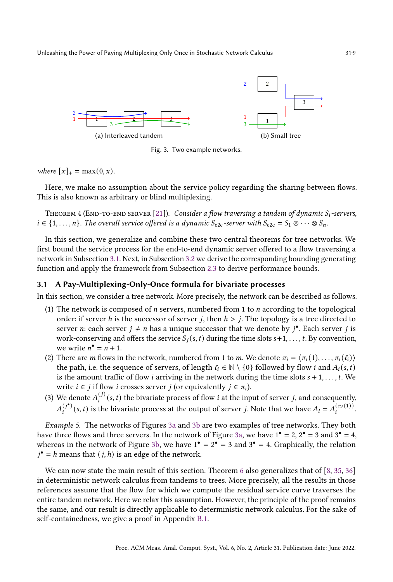<span id="page-8-1"></span>

<span id="page-8-2"></span>Fig. 3. Two example networks.

where  $[x]_+ = \max(0, x)$ .

Here, we make no assumption about the service policy regarding the sharing between flows. This is also known as arbitrary or blind multiplexing.

THEOREM 4 (END-TO-END SERVER [\[21\]](#page-20-8)). Consider a flow traversing a tandem of dynamic  $S_i$ -servers,  $i \in \{1, \ldots, n\}$ . The overall service offered is a dynamic  $S_{e2e}$ -server with  $S_{e2e} = S_1 \otimes \cdots \otimes S_n$ .

In this section, we generalize and combine these two central theorems for tree networks. We first bound the service process for the end-to-end dynamic server offered to a flow traversing a network in Subsection [3.1.](#page-8-0) Next, in Subsection [3.2](#page-10-0) we derive the corresponding bounding generating function and apply the framework from Subsection [2.3](#page-5-0) to derive performance bounds.

### <span id="page-8-0"></span>3.1 A Pay-Multiplexing-Only-Once formula for bivariate processes

In this section, we consider a tree network. More precisely, the network can be described as follows.

- (1) The network is composed of *n* servers, numbered from 1 to *n* according to the topological order: if server h is the successor of server j, then  $h > j$ . The topology is a tree directed to server *n*: each server  $j \neq n$  has a unique successor that we denote by  $j^{\bullet}$ . Each server j is work-conserving and offers the service  $S_i(s, t)$  during the time slots  $s+1, \ldots, t$ . By convention, we write  $n^{\bullet} = n + 1$ .
- (2) There are *m* flows in the network, numbered from 1 to *m*. We denote  $\pi_i = \langle \pi_i(1), \ldots, \pi_i(\ell_i) \rangle$ the path, i.e. the sequence of servers, of length  $\ell_i \in \mathbb{N} \setminus \{0\}$  followed by flow *i* and  $A_i(s, t)$ is the amount traffic of flow *i* arriving in the network during the time slots  $s + 1, \ldots, t$ . We write  $i \in j$  if flow *i* crosses server *j* (or equivalently  $j \in \pi_i$ ).
- (3) We denote  $A_i^{(j)}(s,t)$  the bivariate process of flow *i* at the input of server *j*, and consequently,  $A_i^{(j^*)}(s,t)$  is the bivariate process at the output of server j. Note that we have  $A_i = A_i^{(\pi_i(1))}$ .

Example 5. The networks of Figures [3a](#page-8-1) and [3b](#page-8-2) are two examples of tree networks. They both have three flows and three servers. In the network of Figure [3a,](#page-8-1) we have  $1^{\bullet} = 2$ ,  $2^{\bullet} = 3$  and  $3^{\bullet} = 4$ , whereas in the network of Figure [3b,](#page-8-2) we have  $1^{\bullet} = 2^{\bullet} = 3$  and  $3^{\bullet} = 4$ . Graphically, the relation  $j^{\bullet} = h$  means that  $(j, h)$  is an edge of the network.

We can now state the main result of this section. Theorem [6](#page-9-0) also generalizes that of  $[8, 35, 36]$  $[8, 35, 36]$  $[8, 35, 36]$  $[8, 35, 36]$  $[8, 35, 36]$ in deterministic network calculus from tandems to trees. More precisely, all the results in those references assume that the flow for which we compute the residual service curve traverses the entire tandem network. Here we relax this assumption. However, the principle of the proof remains the same, and our result is directly applicable to deterministic network calculus. For the sake of self-containedness, we give a proof in Appendix [B.1.](#page-22-0)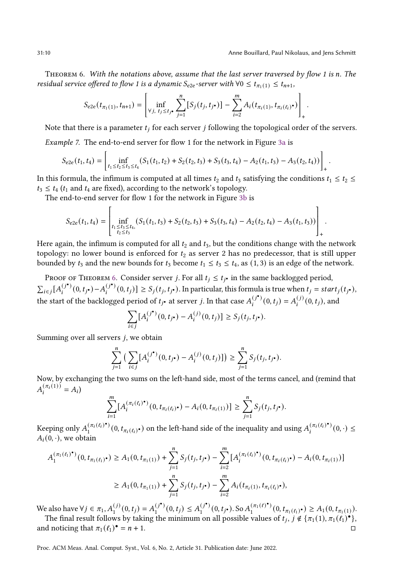.

<span id="page-9-0"></span>THEOREM 6. With the notations above, assume that the last server traversed by flow 1 is n. The residual service offered to flow 1 is a dynamic  $S_{e2e}$ -server with  $\forall 0 \leq t_{\pi_1(1)} \leq t_{n+1}$ ,

$$
S_{e2e}(t_{\pi_1(1)}, t_{n+1}) = \left[\inf_{\forall j, t_j \le t_{j} \bullet} \sum_{j=1}^n [S_j(t_j, t_{j} \bullet)] - \sum_{i=2}^m A_i(t_{\pi_i(1)}, t_{\pi_i(\ell_i)} \bullet) \right]_+
$$

Note that there is a parameter  $t_i$  for each server  $j$  following the topological order of the servers.

Example 7. The end-to-end server for flow 1 for the network in Figure [3a](#page-8-1) is

$$
S_{e2e}(t_1, t_4) = \left[ \inf_{t_1 \le t_2 \le t_3 \le t_4} (S_1(t_1, t_2) + S_2(t_2, t_3) + S_3(t_3, t_4) - A_2(t_1, t_3) - A_3(t_2, t_4)) \right]_+.
$$

In this formula, the infimum is computed at all times  $t_2$  and  $t_3$  satisfying the conditions  $t_1 \le t_2 \le$  $t_3 \le t_4$  ( $t_1$  and  $t_4$  are fixed), according to the network's topology.

The end-to-end server for flow 1 for the network in Figure [3b](#page-8-2) is

$$
S_{e2e}(t_1, t_4) = \left[\inf_{\substack{t_1 \le t_3 \le t_4, \\ t_2 \le t_3}} (S_1(t_1, t_3) + S_2(t_2, t_3) + S_3(t_3, t_4) - A_2(t_2, t_4) - A_3(t_1, t_3))\right]_+.
$$

 $\frac{1}{2}$  +  $\frac{1}{2}$ <br>Here again, the infimum is computed for all  $t_2$  and  $t_3$ , but the conditions change with the network topology: no lower bound is enforced for  $t_2$  as server 2 has no predecessor, that is still upper bounded by  $t_3$  and the new bounds for  $t_3$  become  $t_1 \le t_3 \le t_4$ , as (1, 3) is an edge of the network.

PROOF OF THEOREM [6.](#page-9-0) Consider server *j*. For all  $t_i \leq t_i$  in the same backlogged period,  $\sum_{i\in j} [A_i^{(j^\bullet)}(0,t_{j^\bullet})-A_i^{(j^\bullet)}(0,t_j)] \geq S_j(t_j,t_{j^\bullet}).$  In particular, this formula is true when  $t_j = start_j(t_{j^\bullet}),$ the start of the backlogged period of  $t_j$  at server j. In that case  $A_i^{(j^*)}(0, t_j) = A_i^{(j)}(0, t_j)$ , and

$$
\sum_{i \in j} [A_i^{(j^{\bullet})}(0, t_{j^{\bullet}}) - A_i^{(j)}(0, t_j)] \ge S_j(t_j, t_{j^{\bullet}}).
$$

Summing over all servers  $i$ , we obtain

$$
\sum_{j=1}^n \left( \sum_{i \in j} [A_i^{(j^{\bullet})}(0, t_{j^{\bullet}}) - A_i^{(j)}(0, t_j)] \right) \ge \sum_{j=1}^n S_j(t_j, t_{j^{\bullet}}).
$$

Now, by exchanging the two sums on the left-hand side, most of the terms cancel, and (remind that  $A_i^{(\pi_i(1))} = A_i$ 

$$
\sum_{i=1}^m [A_i^{(\pi_i(\ell_i)^*)}(0, t_{\pi_i(\ell_i)^*}) - A_i(0, t_{\pi_i(1)})] \geq \sum_{j=1}^n S_j(t_j, t_{j^*}).
$$

Keeping only  $A_1^{(\pi_i(\ell_i)^*)}(0, t_{\pi_i(\ell_i)^*})$  on the left-hand side of the inequality and using  $A_i^{(\pi_i(\ell_i)^*)}(0, \cdot) \leq$  $A_i(0, \cdot)$ , we obtain

$$
A_1^{(\pi_1(\ell_1)^{\bullet})}(0, t_{\pi_1(\ell_1)^{\bullet}}) \ge A_1(0, t_{\pi_1(1)}) + \sum_{j=1}^n S_j(t_j, t_{j^{\bullet}}) - \sum_{i=2}^m [A_i^{(\pi_i(\ell_i)^{\bullet})}(0, t_{\pi_i(\ell_i)^{\bullet}}) - A_i(0, t_{\pi_i(1)})]
$$
  

$$
\ge A_1(0, t_{\pi_1(1)}) + \sum_{j=1}^n S_j(t_j, t_{j^{\bullet}}) - \sum_{i=2}^m A_i(t_{\pi_i(1)}, t_{\pi_i(\ell_i)^{\bullet}}),
$$

We also have  $\forall j \in \pi_1, A_1^{(j)}(0, t_j) = A_1^{(j^*)}(0, t_j) \leq A_1^{(j^*)}(0, t_{j^*})$ . So  $A_1^{(\pi_1(\ell)^*)}(0, t_{\pi_1(\ell_1)^*}) \geq A_1(0, t_{\pi_1(1)})$ .

The final result follows by taking the minimum on all possible values of  $t_i$ ,  $j \notin \{\pi_1(1), \pi_1(\ell_1)^\bullet\}$ , and noticing that  $\pi_1 (\ell_1)^\bullet = n + 1$ .  $\bullet = n+1.$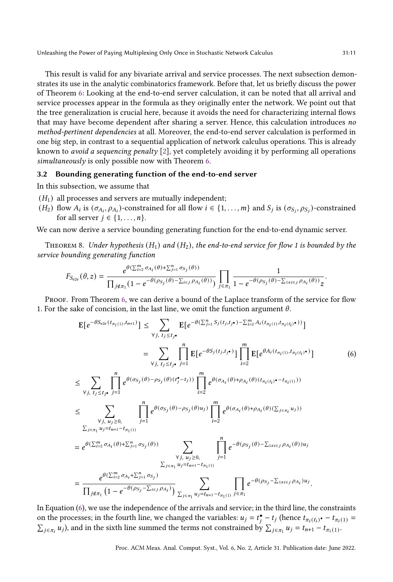This result is valid for any bivariate arrival and service processes. The next subsection demonstrates its use in the analytic combinatorics framework. Before that, let us briefly discuss the power of Theorem [6:](#page-9-0) Looking at the end-to-end server calculation, it can be noted that all arrival and service processes appear in the formula as they originally enter the network. We point out that the tree generalization is crucial here, because it avoids the need for characterizing internal flows that may have become dependent after sharing a server. Hence, this calculation introduces no method-pertinent dependencies at all. Moreover, the end-to-end server calculation is performed in one big step, in contrast to a sequential application of network calculus operations. This is already known to avoid a sequencing penalty [\[2\]](#page-20-21), yet completely avoiding it by performing all operations simultaneously is only possible now with Theorem [6.](#page-9-0)

## <span id="page-10-0"></span>3.2 Bounding generating function of the end-to-end server

In this subsection, we assume that

- $(H<sub>1</sub>)$  all processes and servers are mutually independent;
- $(H_2)$  flow  $A_i$  is  $(\sigma_{A_i}, \rho_{A_i})$ -constrained for all flow  $i \in \{1, ..., m\}$  and  $S_j$  is  $(\sigma_{S_i}, \rho_{S_i})$ -constrained for all server  $j \in \{1, \ldots, n\}$ .

We can now derive a service bounding generating function for the end-to-end dynamic server.

<span id="page-10-2"></span>THEOREM 8. Under hypothesis  $(H_1)$  and  $(H_2)$ , the end-to-end service for flow 1 is bounded by the service bounding generating function

$$
F_{S_{e2e}}(\theta,z)=\frac{e^{\theta(\sum_{i=2}^m\sigma_{A_i}(\theta)+\sum_{j=1}^n\sigma_{S_j}(\theta))}}{\prod_{j\notin \pi_1}(1-e^{-\theta(\rho_{S_j}(\theta)-\sum_{i\in j}\rho_{A_i}(\theta))})}\prod_{j\in \pi_1}\frac{1}{1-e^{-\theta(\rho_{S_j}(\theta)-\sum_{1\neq i\in j}\rho_{A_i}(\theta))}z}.
$$

PROOF. From Theorem [6,](#page-9-0) we can derive a bound of the Laplace transform of the service for flow 1. For the sake of concision, in the last line, we omit the function argument  $\theta$ .

<span id="page-10-1"></span>
$$
E[e^{-\theta S_{e2e}(t_{\pi_1(1)}, t_{n+1})}] \leq \sum_{\forall j, t_j \leq t_j, \forall i, t_j \leq t_j} E[e^{-\theta(\sum_{j=1}^n S_j(t_j, t_j \cdot \cdot) - \sum_{i=2}^m A_i(t_{\pi_i(1)}, t_{\pi_i(t_i)} \cdot))}]
$$
\n
$$
= \sum_{\forall j, t_j \leq t_j, \forall i, t_j \leq t_j, \forall j, t_j \leq t_j, \forall j, t_j \leq t_j \leq t_j} \prod_{j=1}^n E[e^{-\theta S_j(t_j, t_j \cdot \cdot)}] \prod_{i=2}^m E[e^{\theta A_i(t_{\pi_i(1)}, t_{\pi_i(t_i)} \cdot)}]
$$
\n
$$
\leq \sum_{\forall j, t_j \leq t_j, \forall j, t_j \geq 0, \forall j, t_j \geq 0, \forall j, t_j \geq 0} \prod_{j=1}^n e^{\theta(\sigma_{S_j}(\theta) - \rho_{S_j}(\theta)u_j)} \prod_{i=2}^m e^{\theta(\sigma_{A_i}(\theta) + \rho_{A_i}(\theta)(t_{\pi_i(t_i)} \cdot - t_{\pi_i(1)}))}
$$
\n
$$
= e^{\theta(\sum_{i=1}^m u_j = t_{n+1} - t_{\pi_1(1)}} = e^{\theta(\sum_{i=2}^m \sigma_{A_i}(\theta) + \sum_{j=1}^n \sigma_{S_j}(\theta))} \sum_{\substack{\forall j, u_j \geq 0, \forall j, u_j \geq 0, \forall j, t_j \geq 0, \forall j, t_j \geq 0, \forall j, t_j \geq 0}} \prod_{j=1}^n e^{-\theta(\rho_{S_j}(\theta) - \sum_{1 \neq i \in j} \rho_{A_i}(\theta))u_j}
$$
\n
$$
= \frac{e^{\theta(\sum_{i=2}^m \sigma_{A_i} + \sum_{j=1}^n \sigma_{S_j})}}{\prod_{j \notin \pi_1} (1 - e^{-\theta(\rho_{S_j} - \sum_{i \in j} \rho_{A_i})})} \sum_{\sum_{j \in \pi_1} u_j = t_{n+1} - t_{\pi_1(1)}} \prod_{j \in \pi_1} e^{-\theta(\rho_{S_j} - \sum_{1 \neq i \in j} \rho_{A_i})u_j}
$$

In Equation [\(6\)](#page-10-1), we use the independence of the arrivals and service; in the third line, the constraints on the processes; in the fourth line, we changed the variables:  $u_j = t_j^{\bullet} - t_j$  (hence  $t_{\pi_i(\ell_i) \bullet} - t_{\pi_i(1)} =$  $\sum_{j \in \pi_i} u_j$ ), and in the sixth line summed the terms not constrained by  $\sum_{j \in \pi_1} u_j = t_{n+1} - t_{\pi_1(1)}$ .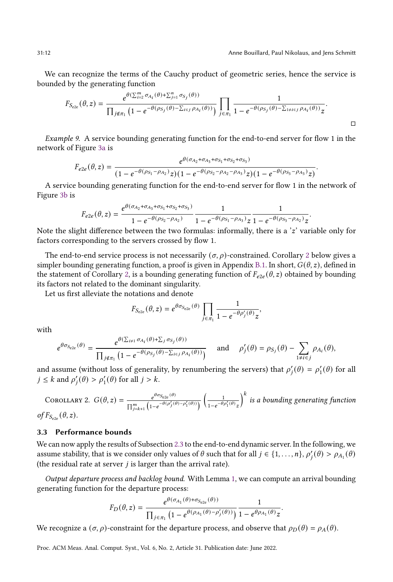We can recognize the terms of the Cauchy product of geometric series, hence the service is bounded by the generating function

$$
F_{S_{e2e}}(\theta,z)=\frac{e^{\theta(\sum_{i=2}^m\sigma_{A_i}(\theta)+\sum_{j=1}^n\sigma_{S_j}(\theta))}}{\prod_{j\notin \pi_1}\left(1-e^{-\theta(\rho_{S_j}(\theta)-\sum_{i\in j}\rho_{A_i}(\theta))}\right)}\prod_{j\in \pi_1}\frac{1}{1-e^{-\theta(\rho_{S_j}(\theta)-\sum_{1\neq i\in j}\rho_{A_i}(\theta))}z}.
$$

Example 9. A service bounding generating function for the end-to-end server for flow 1 in the network of Figure [3a](#page-8-1) is

$$
F_{e2e}(\theta,z)=\frac{e^{\theta(\sigma_{A_2}+\sigma_{A_3}+\sigma_{S_1}+\sigma_{S_2}+\sigma_{S_3})}}{(1-e^{-\theta(\rho_{S_1}-\rho_{A_2})}z)(1-e^{-\theta(\rho_{S_2}-\rho_{A_2}-\rho_{A_3})}z)(1-e^{-\theta(\rho_{S_3}-\rho_{A_3})}z)}.
$$

A service bounding generating function for the end-to-end server for flow 1 in the network of Figure [3b](#page-8-2) is

$$
F_{e2e}(\theta,z)=\frac{e^{\theta(\sigma_{A_2}+\sigma_{A_3}+\sigma_{S_1}+\sigma_{S_2}+\sigma_{S_3})}}{1-e^{-\theta(\rho_{S_2}-\rho_{A_2})}}\frac{1}{1-e^{-\theta(\rho_{S_1}-\rho_{A_3})}z}\frac{1}{1-e^{-\theta(\rho_{S_3}-\rho_{A_2})}z}.
$$

Note the slight difference between the two formulas: informally, there is a  $z'$  variable only for factors corresponding to the servers crossed by flow 1.

The end-to-end service process is not necessarily  $(\sigma, \rho)$ -constrained. Corollary [2](#page-11-0) below gives a simpler bounding generating function, a proof is given in Appendix [B.1.](#page-22-0) In short,  $G(\theta, z)$ , defined in the statement of Corollary [2,](#page-11-0) is a bounding generating function of  $F_{e2e}(\theta, z)$  obtained by bounding its factors not related to the dominant singularity.

Let us first alleviate the notations and denote

$$
F_{S_{e2e}}(\theta, z) = e^{\theta \sigma_{S_{e2e}}(\theta)} \prod_{j \in \pi_1} \frac{1}{1 - e^{-\theta \rho'_j(\theta)} z},
$$

with

$$
e^{\theta \sigma_{S_{e2e}}(\theta)} = \frac{e^{\theta(\sum_{i\neq 1} \sigma_{A_i}(\theta) + \sum_j \sigma_{S_j}(\theta))}}{\prod_{j \notin \pi_1} \left(1 - e^{-\theta(\rho_{S_j}(\theta) - \sum_{i \in j} \rho_{A_i}(\theta))}\right)} \quad \text{and} \quad \rho'_j(\theta) = \rho_{S_j}(\theta) - \sum_{1 \neq i \in j} \rho_{A_i}(\theta),
$$

and assume (without loss of generality, by renumbering the servers) that  $\rho'_i(\theta) = \rho'_1(\theta)$  for all  $j \leq k$  and  $\rho'_i(\theta) > \rho'_1(\theta)$  for all  $j > k$ .

<span id="page-11-0"></span>COROLLARY 2.  $G(\theta, z) = \frac{e^{\theta \sigma_{S_{e2e}}(\theta)}}{e^{\theta \sigma_{S_{e2e}}(\theta)}}$  $\overline{\prod_{j=k+1}^{m} \left(1-e^{-\theta(\rho'_{j}(\theta)-\rho'_{1}(\theta))}\right)}$  $\frac{1}{\sqrt{2}}$  $\sqrt{1-e^{-\theta\rho'_1(\theta)}}z$  $\big)^k$  is a bounding generating function of  $F_{S_{e2e}}(\theta, z)$ .

# <span id="page-11-1"></span>3.3 Performance bounds

We can now apply the results of Subsection [2.3](#page-5-0) to the end-to-end dynamic server. In the following, we assume stability, that is we consider only values of  $\theta$  such that for all  $j \in \{1,\ldots,n\}$ ,  $\rho'_j(\theta) > \rho_{A_1}(\theta)$ (the residual rate at server  $j$  is larger than the arrival rate).

Output departure process and backlog bound. With Lemma [1,](#page-5-1) we can compute an arrival bounding generating function for the departure process:

$$
F_D(\theta,z)=\frac{e^{\theta(\sigma_{A_1}(\theta)+\sigma_{S_{e2e}}(\theta))}}{\prod_{j\in\pi_1}\left(1-e^{\theta(\rho_{A_1}(\theta)-\rho'_j(\theta))}\right)}\frac{1}{1-e^{\theta\rho_{A_1}(\theta)}z}.
$$

We recognize a  $(\sigma, \rho)$ -constraint for the departure process, and observe that  $\rho_D(\theta) = \rho_A(\theta)$ .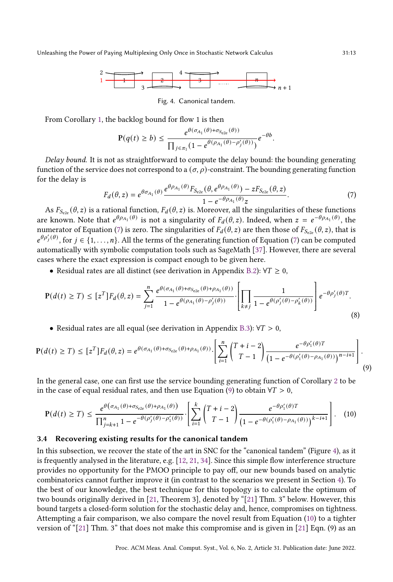

Fig. 4. Canonical tandem.

<span id="page-12-2"></span>From Corollary [1,](#page-6-0) the backlog bound for flow 1 is then

$$
\mathbf{P}(q(t) \geq b) \leq \frac{e^{\theta(\sigma_{A_1}(\theta) + \sigma_{S_{e2e}}(\theta))}}{\prod_{j \in \pi_1} (1 - e^{\theta(\rho_{A_1}(\theta) - \rho'_j(\theta))})} e^{-\theta b}.
$$

Delay bound. It is not as straightforward to compute the delay bound: the bounding generating function of the service does not correspond to a  $(\sigma, \rho)$ -constraint. The bounding generating function for the delay is

<span id="page-12-4"></span><span id="page-12-1"></span><span id="page-12-0"></span>
$$
F_d(\theta, z) = e^{\theta \sigma_{A_1}(\theta)} \frac{e^{\theta \rho_{A_1}(\theta)} F_{S_{e2e}}(\theta, e^{\theta \rho_{A_1}(\theta)}) - z F_{S_{e2e}}(\theta, z)}{1 - e^{-\theta \rho_{A_1}(\theta)} z}.
$$
(7)

As  $F_{S_{e2e}}(\theta, z)$  is a rational function,  $F_d(\theta, z)$  is. Moreover, all the singularities of these functions are known. Note that  $e^{\theta \rho_{A_1}(\theta)}$  is not a singularity of  $F_d(\theta, z)$ . Indeed, when  $z = e^{-\theta \rho_{A_1}(\theta)}$ , the numerator of Equation [\(7\)](#page-12-0) is zero. The singularities of  $F_d(\theta, z)$  are then those of  $F_{S_{e2e}}(\theta, z)$ , that is  $e^{\theta \rho'_j(\theta)}$ , for  $j \in \{1,\ldots,n\}$ . All the terms of the generating function of Equation [\(7\)](#page-12-0) can be computed automatically with symbolic computation tools such as SageMath [\[37\]](#page-21-7). However, there are several cases where the exact expression is compact enough to be given here.

• Residual rates are all distinct (see derivation in Appendix [B.2\)](#page-23-0):  $\forall T \geq 0$ ,

$$
\mathbf{P}(d(t) \ge T) \le [z^T] F_d(\theta, z) = \sum_{j=1}^n \frac{e^{\theta(\sigma_{A_1}(\theta) + \sigma_{S_{e2e}}(\theta) + \rho_{A_1}(\theta))}}{1 - e^{\theta(\rho_{A_1}(\theta) - \rho'_j(\theta))}} \cdot \left[ \prod_{k \ne j} \frac{1}{1 - e^{\theta(\rho'_j(\theta) - \rho'_k(\theta))}} \right] e^{-\theta \rho'_j(\theta) T}.
$$
\n(8)

• Residual rates are all equal (see derivation in Appendix [B.3\)](#page-23-1):  $\forall T > 0$ ,

$$
\mathbf{P}(d(t) \geq T) \leq [z^T] F_d(\theta, z) = e^{\theta(\sigma_{A_1}(\theta) + \sigma_{S_{e2e}}(\theta) + \rho_{A_1}(\theta))} \cdot \left[ \sum_{i=1}^n \binom{T+i-2}{T-1} \frac{e^{-\theta \rho'_1(\theta)T}}{\left(1 - e^{-\theta(\rho'_1(\theta) - \rho_{A_1}(\theta))}\right)^{n-i+1}} \right].
$$
\n(9)

In the general case, one can first use the service bounding generating function of Corollary [2](#page-11-0) to be in the case of equal residual rates, and then use Equation [\(9\)](#page-12-1) to obtain  $\forall T > 0$ ,

<span id="page-12-3"></span>
$$
\mathbf{P}(d(t) \geq T) \leq \frac{e^{\theta(\sigma_{A_1}(\theta) + \sigma_{S_{e2e}}(\theta) + \rho_{A_1}(\theta))}}{\prod_{j=k+1}^{n} 1 - e^{-\theta(\rho_j'(\theta) - \rho_1'(\theta))}} \cdot \left[ \sum_{i=1}^{k} \binom{T+i-2}{T-1} \frac{e^{-\theta \rho_1'(\theta)T}}{\left(1 - e^{-\theta(\rho_1'(\theta) - \rho_{A_1}(\theta))}\right)^{k-i+1}} \right].
$$
 (10)

#### 3.4 Recovering existing results for the canonical tandem

In this subsection, we recover the state of the art in SNC for the "canonical tandem" (Figure [4\)](#page-12-2), as it is frequently analysed in the literature, e.g. [\[12,](#page-20-6) [21,](#page-20-8) [34\]](#page-21-0). Since this simple flow interference structure provides no opportunity for the PMOO principle to pay off, our new bounds based on analytic combinatorics cannot further improve it (in contrast to the scenarios we present in Section [4\)](#page-13-0). To the best of our knowledge, the best technique for this topology is to calculate the optimum of two bounds originally derived in [\[21,](#page-20-8) Theorem 3], denoted by "[\[21\]](#page-20-8) Thm. 3" below. However, this bound targets a closed-form solution for the stochastic delay and, hence, compromises on tightness. Attempting a fair comparison, we also compare the novel result from Equation [\(10\)](#page-12-3) to a tighter version of "[\[21\]](#page-20-8) Thm. 3" that does not make this compromise and is given in [21] Eqn. (9) as an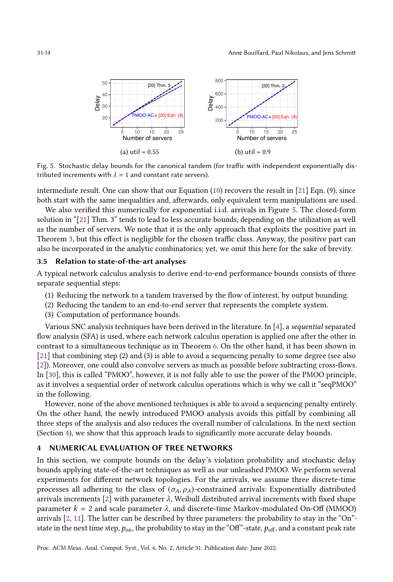<span id="page-13-1"></span>

Fig. 5. Stochastic delay bounds for the canonical tandem (for traffic with independent exponentially distributed increments with  $\lambda = 1$  and constant rate servers).

intermediate result. One can show that our Equation [\(10\)](#page-12-3) recovers the result in [\[21\]](#page-20-8) Eqn. (9), since both start with the same inequalities and, afterwards, only equivalent term manipulations are used.

We also verified this numerically for exponential i.i.d. arrivals in Figure [5.](#page-13-1) The closed-form solution in "[\[21\]](#page-20-8) Thm. 3" tends to lead to less accurate bounds, depending on the utilization as well as the number of servers. We note that it is the only approach that exploits the positive part in Theorem [3,](#page-7-1) but this effect is negligible for the chosen traffic class. Anyway, the positive part can also be incorporated in the analytic combinatorics; yet, we omit this here for the sake of brevity.

#### <span id="page-13-2"></span>3.5 Relation to state-of-the-art analyses

A typical network calculus analysis to derive end-to-end performance bounds consists of three separate sequential steps:

- (1) Reducing the network to a tandem traversed by the flow of interest, by output bounding.
- (2) Reducing the tandem to an end-to-end server that represents the complete system.
- (3) Computation of performance bounds.

Various SNC analysis techniques have been derived in the literature. In [\[4\]](#page-20-22), a sequential separated flow analysis (SFA) is used, where each network calculus operation is applied one after the other in contrast to a simultaneous technique as in Theorem [6.](#page-9-0) On the other hand, it has been shown in [\[21\]](#page-20-8) that combining step (2) and (3) is able to avoid a sequencing penalty to some degree (see also [\[2\]](#page-20-21)). Moreover, one could also convolve servers as much as possible before subtracting cross-flows. In [\[30\]](#page-20-23), this is called "PMOO", however, it is not fully able to use the power of the PMOO principle, as it involves a sequential order of network calculus operations which is why we call it "seqPMOO" in the following.

However, none of the above mentioned techniques is able to avoid a sequencing penalty entirely. On the other hand, the newly introduced PMOO analysis avoids this pitfall by combining all three steps of the analysis and also reduces the overall number of calculations. In the next section (Section [4\)](#page-13-0), we show that this approach leads to significantly more accurate delay bounds.

## <span id="page-13-0"></span>4 NUMERICAL EVALUATION OF TREE NETWORKS

In this section, we compute bounds on the delay's violation probability and stochastic delay bounds applying state-of-the-art techniques as well as our unleashed PMOO. We perform several experiments for different network topologies. For the arrivals, we assume three discrete-time processes all adhering to the class of  $(\sigma_A, \rho_A)$ -constrained arrivals: Exponentially distributed arrivals increments [\[2\]](#page-20-21) with parameter  $\lambda$ , Weibull distributed arrival increments with fixed shape parameter  $k = 2$  and scale parameter  $\lambda$ , and discrete-time Markov-modulated On-Off (MMOO) arrivals [\[2,](#page-20-21) [11\]](#page-20-5). The latter can be described by three parameters: the probability to stay in the "On" state in the next time step,  $p_{on}$ , the probability to stay in the "Off"-state,  $p_{off}$ , and a constant peak rate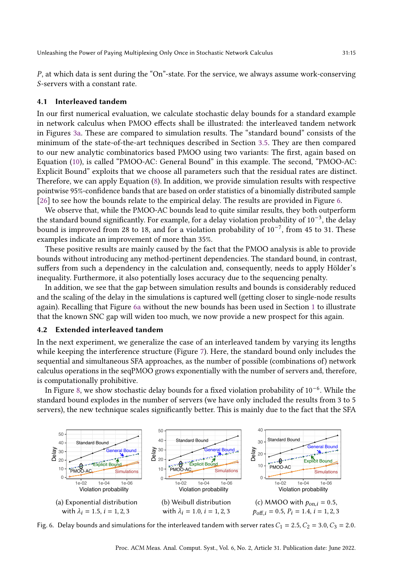$P$ , at which data is sent during the "On"-state. For the service, we always assume work-conserving S-servers with a constant rate.

## 4.1 Interleaved tandem

In our first numerical evaluation, we calculate stochastic delay bounds for a standard example in network calculus when PMOO effects shall be illustrated: the interleaved tandem network in Figures [3a.](#page-8-1) These are compared to simulation results. The "standard bound" consists of the minimum of the state-of-the-art techniques described in Section [3.5.](#page-13-2) They are then compared to our new analytic combinatorics based PMOO using two variants: The first, again based on Equation [\(10\)](#page-12-3), is called "PMOO-AC: General Bound" in this example. The second, "PMOO-AC: Explicit Bound" exploits that we choose all parameters such that the residual rates are distinct. Therefore, we can apply Equation [\(8\)](#page-12-4). In addition, we provide simulation results with respective pointwise 95%-confidence bands that are based on order statistics of a binomially distributed sample [\[26\]](#page-20-24) to see how the bounds relate to the empirical delay. The results are provided in Figure [6.](#page-14-1)

We observe that, while the PMOO-AC bounds lead to quite similar results, they both outperform the standard bound significantly. For example, for a delay violation probability of 10−<sup>3</sup> , the delay bound is improved from 28 to 18, and for a violation probability of 10−<sup>7</sup> , from 45 to 31. These examples indicate an improvement of more than 35%.

These positive results are mainly caused by the fact that the PMOO analysis is able to provide bounds without introducing any method-pertinent dependencies. The standard bound, in contrast, suffers from such a dependency in the calculation and, consequently, needs to apply Hölder's inequality. Furthermore, it also potentially loses accuracy due to the sequencing penalty.

In addition, we see that the gap between simulation results and bounds is considerably reduced and the scaling of the delay in the simulations is captured well (getting closer to single-node results again). Recalling that Figure [6a](#page-14-2) without the new bounds has been used in Section [1](#page-0-0) to illustrate that the known SNC gap will widen too much, we now provide a new prospect for this again.

#### <span id="page-14-0"></span>4.2 Extended interleaved tandem

In the next experiment, we generalize the case of an interleaved tandem by varying its lengths while keeping the interference structure (Figure [7\)](#page-15-0). Here, the standard bound only includes the sequential and simultaneous SFA approaches, as the number of possible (combinations of) network calculus operations in the seqPMOO grows exponentially with the number of servers and, therefore, is computationally prohibitive.

In Figure [8,](#page-15-1) we show stochastic delay bounds for a fixed violation probability of 10−<sup>6</sup> . While the standard bound explodes in the number of servers (we have only included the results from 3 to 5 servers), the new technique scales significantly better. This is mainly due to the fact that the SFA

<span id="page-14-2"></span><span id="page-14-1"></span>

Fig. 6. Delay bounds and simulations for the interleaved tandem with server rates  $C_1 = 2.5, C_2 = 3.0, C_3 = 2.0$ .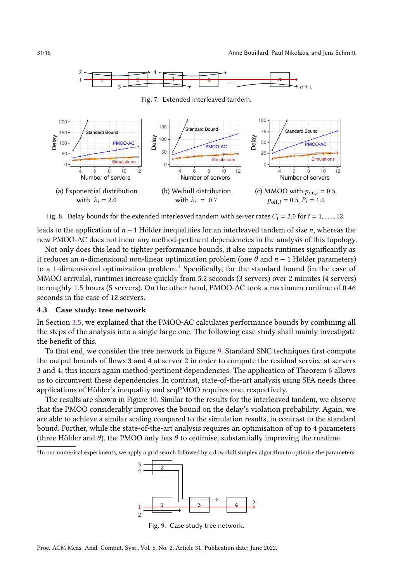<span id="page-15-1"></span><span id="page-15-0"></span>

Fig. 8. Delay bounds for the extended interleaved tandem with server rates  $C_i = 2.0$  for  $i = 1, ..., 12$ .

leads to the application of  $n - 1$  Hölder inequalities for an interleaved tandem of size  $n$ , whereas the new PMOO-AC does not incur any method-pertinent dependencies in the analysis of this topology.

Not only does this lead to tighter performance bounds, it also impacts runtimes significantly as it reduces an *n*-dimensional non-linear optimization problem (one  $\theta$  and  $n - 1$  Hölder parameters) to a [1](#page-15-2)-dimensional optimization problem.<sup>1</sup> Specifically, for the standard bound (in the case of MMOO arrivals), runtimes increase quickly from 5.2 seconds (3 servers) over 2 minutes (4 servers) to roughly 1.5 hours (5 servers). On the other hand, PMOO-AC took a maximum runtime of 0.46 seconds in the case of 12 servers.

#### 4.3 Case study: tree network

In Section [3.5,](#page-13-2) we explained that the PMOO-AC calculates performance bounds by combining all the steps of the analysis into a single large one. The following case study shall mainly investigate the benefit of this.

To that end, we consider the tree network in Figure [9.](#page-15-3) Standard SNC techniques first compute the output bounds of flows 3 and 4 at server 2 in order to compute the residual service at servers 3 and 4; this incurs again method-pertinent dependencies. The application of Theorem [6](#page-9-0) allows us to circumvent these dependencies. In contrast, state-of-the-art analysis using SFA needs three applications of Hölder's inequality and seqPMOO requires one, respectively.

The results are shown in Figure [10.](#page-16-1) Similar to the results for the interleaved tandem, we observe that the PMOO considerably improves the bound on the delay's violation probability. Again, we are able to achieve a similar scaling compared to the simulation results, in contrast to the standard bound. Further, while the state-of-the-art analysis requires an optimisation of up to 4 parameters (three Hölder and  $\theta$ ), the PMOO only has  $\theta$  to optimise, substantially improving the runtime.

<span id="page-15-3"></span><span id="page-15-2"></span><sup>1</sup>In our numerical experiments, we apply a grid search followed by a downhill simplex algorithm to optimise the parameters.



Fig. 9. Case study tree network.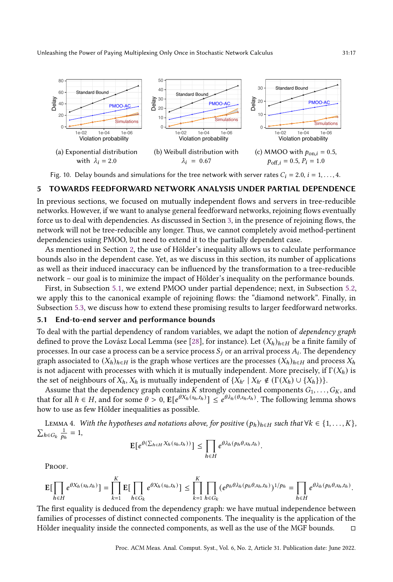<span id="page-16-1"></span>

Fig. 10. Delay bounds and simulations for the tree network with server rates  $C_i = 2.0, i = 1, \ldots, 4$ .

## <span id="page-16-0"></span>5 TOWARDS FEEDFORWARD NETWORK ANALYSIS UNDER PARTIAL DEPENDENCE

In previous sections, we focused on mutually independent flows and servers in tree-reducible networks. However, if we want to analyse general feedforward networks, rejoining flows eventually force us to deal with dependencies. As discussed in Section [3,](#page-7-0) in the presence of rejoining flows, the network will not be tree-reducible any longer. Thus, we cannot completely avoid method-pertinent dependencies using PMOO, but need to extend it to the partially dependent case.

As mentioned in Section [2,](#page-2-3) the use of Hölder's inequality allows us to calculate performance bounds also in the dependent case. Yet, as we discuss in this section, its number of applications as well as their induced inaccuracy can be influenced by the transformation to a tree-reducible network – our goal is to minimize the impact of Hölder's inequality on the performance bounds.

First, in Subsection [5.1,](#page-16-2) we extend PMOO under partial dependence; next, in Subsection [5.2,](#page-17-0) we apply this to the canonical example of rejoining flows: the "diamond network". Finally, in Subsection [5.3,](#page-18-0) we discuss how to extend these promising results to larger feedforward networks.

#### <span id="page-16-2"></span>5.1 End-to-end server and performance bounds

To deal with the partial dependency of random variables, we adapt the notion of dependency graph defined to prove the Lovász Local Lemma (see [\[28\]](#page-20-25), for instance). Let  $(X_h)_{h \in H}$  be a finite family of processes. In our case a process can be a service process  $S_i$  or an arrival process  $A_i$ . The dependency graph associated to  $(X_h)_{h \in H}$  is the graph whose vertices are the processes  $(X_h)_{h \in H}$  and process  $X_h$ is not adjacent with processes with which it is mutually independent. More precisely, if  $\Gamma(X_h)$  is the set of neighbours of  $X_h$ ,  $X_h$  is mutually independent of  $\{X_{h'} \mid X_{h'} \notin (\Gamma(X_h) \cup \{X_h\})\}$ .

Assume that the dependency graph contains K strongly connected components  $G_1, \ldots, G_K$ , and that for all  $h \in H$ , and for some  $\theta > 0$ ,  $\mathbb{E}[e^{\theta X_h(s_h,t_h)}] \leq e^{\theta \lambda_h(\theta,s_h,t_h)}$ . The following lemma shows how to use as few Hölder inequalities as possible.

<span id="page-16-3"></span>LEMMA 4. With the hypotheses and notations above, for positive  $(p_h)_{h \in H}$  such that  $\forall k \in \{1, \ldots, K\}$ ,  $\sum_{h \in G_k} \frac{1}{p_h} = 1$ ,

$$
\mathbb{E}\big[e^{\theta(\sum_{h\in H}X_h(s_h,t_h))}\big]\leq \prod_{h\in H}e^{\theta\lambda_h(p_h\theta,s_h,t_h)}.
$$

PROOF.

$$
\mathbb{E}\big[\prod_{h\in H}e^{\theta X_h(s_h,t_h)}\big]=\prod_{k=1}^K \mathbb{E}\big[\prod_{h\in G_k}e^{\theta X_h(s_h,t_h)}\big]\leq \prod_{k=1}^K \prod_{h\in G_k}(e^{p_h\theta\lambda_h(p_h\theta,s_h,t_h)})^{1/p_h}=\prod_{h\in H}e^{\theta\lambda_h(p_h\theta,s_h,t_h)}.
$$

The first equality is deduced from the dependency graph: we have mutual independence between families of processes of distinct connected components. The inequality is the application of the Hölder inequality inside the connected components, as well as the use of the MGF bounds.  $□$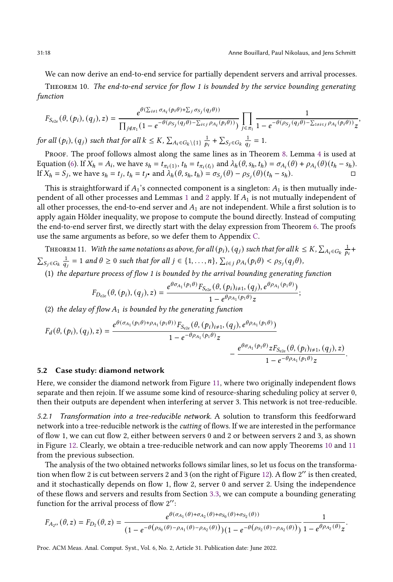We can now derive an end-to-end service for partially dependent servers and arrival processes.

<span id="page-17-1"></span>Theorem 10. The end-to-end service for flow 1 is bounded by the service bounding generating function

$$
F_{S_{e2e}}(\theta, (p_i), (q_j), z) = \frac{e^{\theta(\sum_{i\neq 1} \sigma_{A_i}(p_i\theta) + \sum_j \sigma_{S_j}(q_j\theta))}}{\prod_{j \notin \pi_1} (1 - e^{-\theta(\rho_{S_j}(q_j\theta) - \sum_{i\in j} \rho_{A_i}(p_i\theta)))}} \prod_{j \in \pi_1} \frac{1}{1 - e^{-\theta(\rho_{S_j}(q_j\theta) - \sum_{1 \neq i\in j} \rho_{A_i}(p_i\theta))} z},
$$

for all  $(p_i)$ ,  $(q_j)$  such that for all  $k \leq K$ ,  $\sum_{A_i \in G_k \setminus \{1\}} \frac{1}{p_i} + \sum_{S_j \in G_k} \frac{1}{q_j} = 1$ .

PROOF. The proof follows almost along the same lines as in Theorem [8.](#page-10-2) Lemma [4](#page-16-3) is used at Equation [\(6\)](#page-10-1). If  $X_h = A_i$ , we have  $s_h = t_{\pi_i(1)}$ ,  $t_h = t_{\pi_i(\ell_i)}$  and  $\lambda_h(\theta, s_h, t_h) = \sigma_{A_i}(\theta) + \rho_{A_i}(\theta)(t_h - s_h)$ . If  $X_h = S_j$ , we have  $s_h = t_j$ ,  $t_h = t_j$  and  $\lambda_h(\theta, s_h, t_h) = \sigma_{S_j}(\theta) - \rho_{S_j}(\theta)(t_h - s_h)$ .

This is straightforward if  $A_1$ 's connected component is a singleton:  $A_1$  is then mutually inde-pendent of all other processes and Lemmas [1](#page-5-1) and [2](#page-6-1) apply. If  $A_1$  is not mutually independent of all other processes, the end-to-end server and  $A_1$  are not independent. While a first solution is to apply again Hölder inequality, we propose to compute the bound directly. Instead of computing the end-to-end server first, we directly start with the delay expression from Theorem [6.](#page-9-0) The proofs use the same arguments as before, so we defer them to Appendix [C.](#page-24-0)

<span id="page-17-2"></span>THEOREM 11. With the same notations as above, for all  $(p_i)$ ,  $(q_j)$  such that for all  $k \le K$ ,  $\sum_{A_i \in G_k} \frac{1}{p_i}+1$  $\sum_{S_j \in G_k} \frac{1}{q_j} = 1$  and  $\theta \ge 0$  such that for all  $j \in \{1, ..., n\}$ ,  $\sum_{i \in j} \rho_{A_i}(p_i \theta) < \rho_{S_j}(q_j \theta)$ ,

(1) the departure process of flow 1 is bounded by the arrival bounding generating function

$$
F_{D_{e2e}}(\theta, (p_i), (q_j), z) = \frac{e^{\theta \sigma_{A_1}(p_1 \theta)} F_{S_{e2e}}(\theta, (p_i)_{i \neq 1}, (q_j), e^{\theta \rho_{A_1}(p_1 \theta)})}{1 - e^{\theta \rho_{A_1}(p_1 \theta)} z};
$$

(2) the delay of flow  $A_1$  is bounded by the generating function

$$
F_d(\theta, (p_i), (q_j), z) = \frac{e^{\theta(\sigma_{A_1}(p_1\theta) + \rho_{A_1}(p_1\theta))} F_{S_{e2e}}(\theta, (p_i)_{i\neq 1}, (q_j), e^{\theta \rho_{A_1}(p_1\theta)})}{1 - e^{-\theta \rho_{A_1}(p_1\theta)} z} - \frac{e^{\theta \sigma_{A_1}(p_1\theta)} z F_{S_{e2e}}(\theta, (p_i)_{i\neq 1}, (q_j), z)}{1 - e^{-\theta \rho_{A_1}(p_1\theta)} z}.
$$

#### <span id="page-17-0"></span>5.2 Case study: diamond network

Here, we consider the diamond network from Figure [11,](#page-18-1) where two originally independent flows separate and then rejoin. If we assume some kind of resource-sharing scheduling policy at server 0, then their outputs are dependent when interfering at server 3. This network is not tree-reducible.

5.2.1 Transformation into a tree-reducible network. A solution to transform this feedforward network into a tree-reducible network is the cutting of flows. If we are interested in the performance of flow 1, we can cut flow 2, either between servers 0 and 2 or between servers 2 and 3, as shown in Figure [12.](#page-18-2) Clearly, we obtain a tree-reducible network and can now apply Theorems [10](#page-17-1) and [11](#page-17-2) from the previous subsection.

The analysis of the two obtained networks follows similar lines, so let us focus on the transformation when flow 2 is cut between servers 2 and 3 (on the right of Figure [12\)](#page-18-2). A flow 2 ′′ is then created, and it stochastically depends on flow 1, flow 2, server 0 and server 2. Using the independence of these flows and servers and results from Section [3.3,](#page-11-1) we can compute a bounding generating function for the arrival process of flow 2 ′′:

$$
F_{A_{2''}}(\theta, z) = F_{D_2}(\theta, z) = \frac{e^{\theta(\sigma_{A_1}(\theta) + \sigma_{A_2}(\theta) + \sigma_{S_0}(\theta) + \sigma_{S_2}(\theta))}}{(1 - e^{-\theta(\rho_{S_0}(\theta) - \rho_{A_1}(\theta) - \rho_{A_2}(\theta))})(1 - e^{-\theta(\rho_{S_2}(\theta) - \rho_{A_2}(\theta))})}\frac{1}{1 - e^{\theta\rho_{A_2}(\theta)}z}.
$$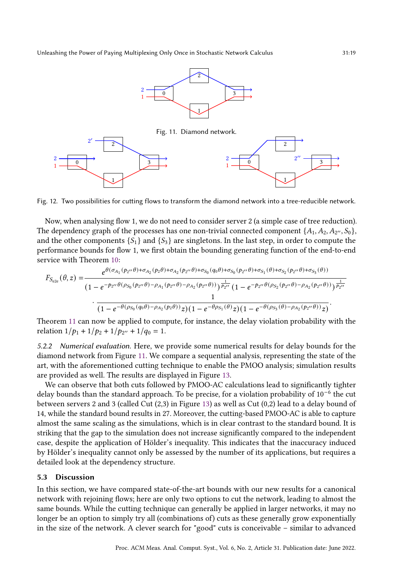

<span id="page-18-2"></span><span id="page-18-1"></span>

Fig. 12. Two possibilities for cutting flows to transform the diamond network into a tree-reducible network.

Now, when analysing flow 1, we do not need to consider server 2 (a simple case of tree reduction). The dependency graph of the processes has one non-trivial connected component  $\{A_1, A_2, A_{2}, \ldots, S_0\}$ and the other components  $\{S_1\}$  and  $\{S_3\}$  are singletons. In the last step, in order to compute the performance bounds for flow 1, we first obtain the bounding generating function of the end-to-end service with Theorem [10:](#page-17-1)

$$
F_{S_{e2e}}(\theta, z) = \frac{e^{\theta(\sigma_{A_1}(p_{2''}\theta) + \sigma_{A_2}(p_2\theta) + \sigma_{A_2}(p_{2''}\theta) + \sigma_{S_0}(q_0\theta) + \sigma_{S_0}(p_{2''}\theta) + \sigma_{S_1}(\theta) + \sigma_{S_2}(p_{2''}\theta) + \sigma_{S_3}(\theta))}}{(1 - e^{-p_{2''}\theta(p_{S_0}(p_{2''}\theta) - \rho_{A_1}(p_{2''}\theta) - \rho_{A_2}(p_{2''}\theta))})\frac{1}{p_{2''}}(1 - e^{-p_{2''}\theta(p_{S_2}(p_{2''}\theta) - \rho_{A_2}(p_{2''}\theta))})\frac{1}{p_{2''}}}{1 - e^{-\theta(p_{S_0}(q_0\theta) - \rho_{A_2}(p_2\theta))}z)(1 - e^{-\theta p_{S_1}(\theta)}z)(1 - e^{-\theta(p_{S_3}(\theta) - \rho_{A_2}(p_{2''}\theta))}z)}.
$$

Theorem [11](#page-17-2) can now be applied to compute, for instance, the delay violation probability with the relation  $1/p_1 + 1/p_2 + 1/p_{2''} + 1/q_0 = 1$ .

5.2.2 Numerical evaluation. Here, we provide some numerical results for delay bounds for the diamond network from Figure [11.](#page-18-1) We compare a sequential analysis, representing the state of the art, with the aforementioned cutting technique to enable the PMOO analysis; simulation results are provided as well. The results are displayed in Figure [13.](#page-19-0)

We can observe that both cuts followed by PMOO-AC calculations lead to significantly tighter delay bounds than the standard approach. To be precise, for a violation probability of 10<sup>-6</sup> the cut between servers 2 and 3 (called Cut (2,3) in Figure [13\)](#page-19-0) as well as Cut (0,2) lead to a delay bound of 14, while the standard bound results in 27. Moreover, the cutting-based PMOO-AC is able to capture almost the same scaling as the simulations, which is in clear contrast to the standard bound. It is striking that the gap to the simulation does not increase significantly compared to the independent case, despite the application of Hölder's inequality. This indicates that the inaccuracy induced by Hölder's inequality cannot only be assessed by the number of its applications, but requires a detailed look at the dependency structure.

#### <span id="page-18-0"></span>5.3 Discussion

In this section, we have compared state-of-the-art bounds with our new results for a canonical network with rejoining flows; here are only two options to cut the network, leading to almost the same bounds. While the cutting technique can generally be applied in larger networks, it may no longer be an option to simply try all (combinations of) cuts as these generally grow exponentially in the size of the network. A clever search for "good" cuts is conceivable – similar to advanced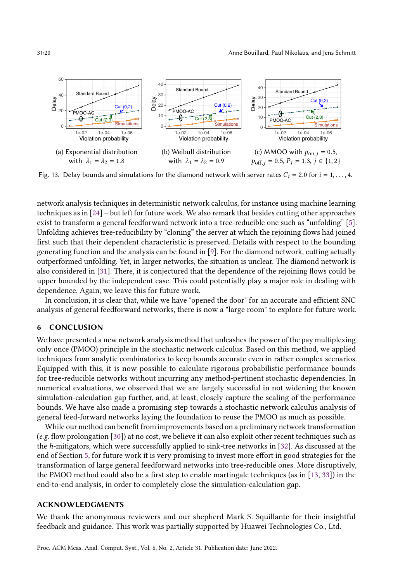<span id="page-19-0"></span>

Fig. 13. Delay bounds and simulations for the diamond network with server rates  $C_i = 2.0$  for  $i = 1, \ldots, 4$ .

network analysis techniques in deterministic network calculus, for instance using machine learning techniques as in [\[24\]](#page-20-26) – but left for future work. We also remark that besides cutting other approaches exist to transform a general feedforward network into a tree-reducible one such as "unfolding" [\[5\]](#page-20-27). Unfolding achieves tree-reducibility by "cloning" the server at which the rejoining flows had joined first such that their dependent characteristic is preserved. Details with respect to the bounding generating function and the analysis can be found in [\[9\]](#page-20-28). For the diamond network, cutting actually outperformed unfolding. Yet, in larger networks, the situation is unclear. The diamond network is also considered in [\[31\]](#page-21-8). There, it is conjectured that the dependence of the rejoining flows could be upper bounded by the independent case. This could potentially play a major role in dealing with dependence. Again, we leave this for future work.

In conclusion, it is clear that, while we have "opened the door" for an accurate and efficient SNC analysis of general feedforward networks, there is now a "large room" to explore for future work.

## 6 CONCLUSION

We have presented a new network analysis method that unleashes the power of the pay multiplexing only once (PMOO) principle in the stochastic network calculus. Based on this method, we applied techniques from analytic combinatorics to keep bounds accurate even in rather complex scenarios. Equipped with this, it is now possible to calculate rigorous probabilistic performance bounds for tree-reducible networks without incurring any method-pertinent stochastic dependencies. In numerical evaluations, we observed that we are largely successful in not widening the known simulation-calculation gap further, and, at least, closely capture the scaling of the performance bounds. We have also made a promising step towards a stochastic network calculus analysis of general feed-forward networks laying the foundation to reuse the PMOO as much as possible.

While our method can benefit from improvements based on a preliminary network transformation (e.g. flow prolongation [\[30\]](#page-20-23)) at no cost, we believe it can also exploit other recent techniques such as the ℎ-mitigators, which were successfully applied to sink-tree networks in [\[32\]](#page-21-9). As discussed at the end of Section [5,](#page-16-0) for future work it is very promising to invest more effort in good strategies for the transformation of large general feedforward networks into tree-reducible ones. More disruptively, the PMOO method could also be a first step to enable martingale techniques (as in [\[13,](#page-20-11) [33\]](#page-21-1)) in the end-to-end analysis, in order to completely close the simulation-calculation gap.

## ACKNOWLEDGMENTS

We thank the anonymous reviewers and our shepherd Mark S. Squillante for their insightful feedback and guidance. This work was partially supported by Huawei Technologies Co., Ltd.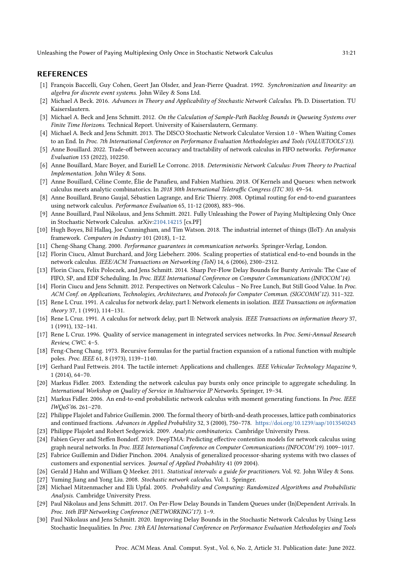### REFERENCES

- <span id="page-20-4"></span>[1] François Baccelli, Guy Cohen, Geert Jan Olsder, and Jean-Pierre Quadrat. 1992. Synchronization and linearity: an algebra for discrete event systems. John Wiley & Sons Ltd.
- <span id="page-20-21"></span>[2] Michael A Beck. 2016. Advances in Theory and Applicability of Stochastic Network Calculus. Ph. D. Dissertation. TU Kaiserslautern.
- <span id="page-20-20"></span>[3] Michael A. Beck and Jens Schmitt. 2012. On the Calculation of Sample-Path Backlog Bounds in Queueing Systems over Finite Time Horizons. Technical Report. University of Kaiserslautern, Germany.
- <span id="page-20-22"></span>[4] Michael A. Beck and Jens Schmitt. 2013. The DISCO Stochastic Network Calculator Version 1.0 - When Waiting Comes to an End. In Proc. 7th International Conference on Performance Evaluation Methodologies and Tools (VALUETOOLS'13).
- <span id="page-20-27"></span>[5] Anne Bouillard. 2022. Trade-off between accuracy and tractability of network calculus in FIFO networks. Performance Evaluation 153 (2022), 102250.
- <span id="page-20-16"></span>[6] Anne Bouillard, Marc Boyer, and Euriell Le Corronc. 2018. Deterministic Network Calculus: From Theory to Practical Implementation. John Wiley & Sons.
- <span id="page-20-19"></span>[7] Anne Bouillard, Céline Comte, Élie de Panafieu, and Fabien Mathieu. 2018. Of Kernels and Queues: when network calculus meets analytic combinatorics. In 2018 30th International Teletraffic Congress (ITC 30). 49–54.
- <span id="page-20-13"></span>[8] Anne Bouillard, Bruno Gaujal, Sébastien Lagrange, and Eric Thierry. 2008. Optimal routing for end-to-end guarantees using network calculus. Performance Evaluation 65, 11-12 (2008), 883–906.
- <span id="page-20-28"></span>[9] Anne Bouillard, Paul Nikolaus, and Jens Schmitt. 2021. Fully Unleashing the Power of Paying Multiplexing Only Once in Stochastic Network Calculus. arXiv[:2104.14215](https://arxiv.org/abs/2104.14215) [cs.PF]
- <span id="page-20-1"></span>[10] Hugh Boyes, Bil Hallaq, Joe Cunningham, and Tim Watson. 2018. The industrial internet of things (IIoT): An analysis framework. Computers in Industry 101 (2018), 1–12.
- <span id="page-20-5"></span>[11] Cheng-Shang Chang. 2000. Performance guarantees in communication networks. Springer-Verlag, London.
- <span id="page-20-6"></span>[12] Florin Ciucu, Almut Burchard, and Jörg Liebeherr. 2006. Scaling properties of statistical end-to-end bounds in the network calculus. IEEE/ACM Transactions on Networking (ToN) 14, 6 (2006), 2300–2312.
- <span id="page-20-11"></span>[13] Florin Ciucu, Felix Poloczek, and Jens Schmitt. 2014. Sharp Per-Flow Delay Bounds for Bursty Arrivals: The Case of FIFO, SP, and EDF Scheduling. In Proc. IEEE International Conference on Computer Communications (INFOCOM'14).
- <span id="page-20-7"></span>[14] Florin Ciucu and Jens Schmitt. 2012. Perspectives on Network Calculus – No Free Lunch, But Still Good Value. In Proc. ACM Conf. on Applications, Technologies, Architectures, and Protocols for Computer Commun. (SIGCOMM'12). 311–322.
- <span id="page-20-2"></span>[15] Rene L Cruz. 1991. A calculus for network delay, part I: Network elements in isolation. IEEE Transactions on information theory 37, 1 (1991), 114–131.
- <span id="page-20-3"></span>[16] Rene L Cruz. 1991. A calculus for network delay, part II: Network analysis. IEEE Transactions on information theory 37, 1 (1991), 132–141.
- <span id="page-20-10"></span>[17] Rene L Cruz. 1996. Quality of service management in integrated services networks. In Proc. Semi-Annual Research Review, CWC. 4–5.
- <span id="page-20-29"></span>[18] Feng-Cheng Chang. 1973. Recursive formulas for the partial fraction expansion of a rational function with multiple poles. Proc. IEEE 61, 8 (1973), 1139–1140.
- <span id="page-20-0"></span>[19] Gerhard Paul Fettweis. 2014. The tactile internet: Applications and challenges. IEEE Vehicular Technology Magazine 9, 1 (2014), 64–70.
- <span id="page-20-14"></span>[20] Markus Fidler. 2003. Extending the network calculus pay bursts only once principle to aggregate scheduling. In International Workshop on Quality of Service in Multiservice IP Networks. Springer, 19–34.
- <span id="page-20-8"></span>[21] Markus Fidler. 2006. An end-to-end probabilistic network calculus with moment generating functions. In Proc. IEEE IWQoS'06. 261–270.
- <span id="page-20-17"></span>[22] Philippe Flajolet and Fabrice Guillemin. 2000. The formal theory of birth-and-death processes, lattice path combinatorics and continued fractions. Advances in Applied Probability 32, 3 (2000), 750–778. <https://doi.org/10.1239/aap/1013540243>
- <span id="page-20-15"></span>[23] Philippe Flajolet and Robert Sedgewick. 2009. Analytic combinatorics. Cambridge University Press.
- <span id="page-20-26"></span>[24] Fabien Geyer and Steffen Bondorf. 2019. DeepTMA: Predicting effective contention models for network calculus using graph neural networks. In Proc. IEEE International Conference on Computer Communications (INFOCOM'19). 1009–1017.
- <span id="page-20-18"></span>[25] Fabrice Guillemin and Didier Pinchon. 2004. Analysis of generalized processor-sharing systems with two classes of customers and exponential services. Journal of Applied Probability 41 (09 2004).
- <span id="page-20-24"></span>[26] Gerald J Hahn and William Q Meeker. 2011. Statistical intervals: a guide for practitioners. Vol. 92. John Wiley & Sons.
- <span id="page-20-9"></span>[27] Yuming Jiang and Yong Liu. 2008. Stochastic network calculus. Vol. 1. Springer.
- <span id="page-20-25"></span>[28] Michael Mitzenmacher and Eli Upfal. 2005. Probability and Computing: Randomized Algorithms and Probabilistic Analysis. Cambridge University Press.
- <span id="page-20-12"></span>[29] Paul Nikolaus and Jens Schmitt. 2017. On Per-Flow Delay Bounds in Tandem Queues under (In)Dependent Arrivals. In Proc. 16th IFIP Networking Conference (NETWORKING'17). 1–9.
- <span id="page-20-23"></span>[30] Paul Nikolaus and Jens Schmitt. 2020. Improving Delay Bounds in the Stochastic Network Calculus by Using Less Stochastic Inequalities. In Proc. 13th EAI International Conference on Performance Evaluation Methodologies and Tools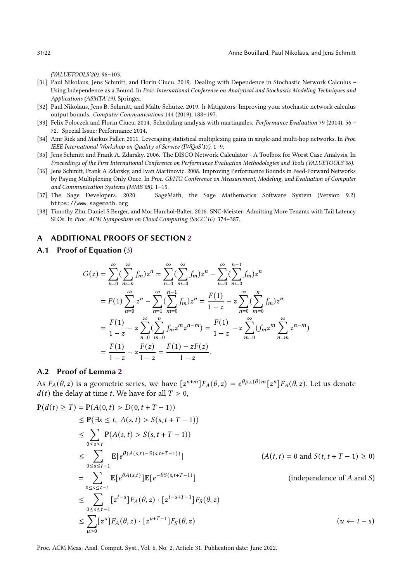(VALUETOOLS'20). 96–103.

- <span id="page-21-8"></span>[31] Paul Nikolaus, Jens Schmitt, and Florin Ciucu. 2019. Dealing with Dependence in Stochastic Network Calculus – Using Independence as a Bound. In Proc. International Conference on Analytical and Stochastic Modeling Techniques and Applications (ASMTA'19). Springer.
- <span id="page-21-9"></span>[32] Paul Nikolaus, Jens B. Schmitt, and Malte Schütze. 2019. h-Mitigators: Improving your stochastic network calculus output bounds. Computer Communications 144 (2019), 188–197.
- <span id="page-21-1"></span>[33] Felix Poloczek and Florin Ciucu. 2014. Scheduling analysis with martingales. Performance Evaluation 79 (2014), 56 – 72. Special Issue: Performance 2014.
- <span id="page-21-0"></span>[34] Amr Rizk and Markus Fidler. 2011. Leveraging statistical multiplexing gains in single-and multi-hop networks. In Proc. IEEE International Workshop on Quality of Service (IWQoS'17). 1–9.
- <span id="page-21-3"></span>[35] Jens Schmitt and Frank A. Zdarsky. 2006. The DISCO Network Calculator - A Toolbox for Worst Case Analysis. In Proceedings of the First International Conference on Performance Evaluation Methodologies and Tools (VALUETOOLS'06).
- <span id="page-21-4"></span>[36] Jens Schmitt, Frank A Zdarsky, and Ivan Martinovic. 2008. Improving Performance Bounds in Feed-Forward Networks by Paying Multiplexing Only Once. In Proc. GI/ITG Conference on Measurement, Modeling, and Evaluation of Computer and Communication Systems (MMB'08). 1–15.
- <span id="page-21-7"></span>[37] The Sage Developers. 2020. SageMath, the Sage Mathematics Software System (Version 9.2). https://www.sagemath.org.
- <span id="page-21-2"></span>[38] Timothy Zhu, Daniel S Berger, and Mor Harchol-Balter. 2016. SNC-Meister: Admitting More Tenants with Tail Latency SLOs. In Proc. ACM Symposium on Cloud Computing (SoCC'16). 374–387.

## A ADDITIONAL PROOFS OF SECTION [2](#page-2-3)

<span id="page-21-5"></span>A.1 Proof of Equation [\(3\)](#page-4-3)

$$
G(z) = \sum_{n=0}^{\infty} (\sum_{m=n}^{\infty} f_m) z^n = \sum_{n=0}^{\infty} (\sum_{m=0}^{\infty} f_m) z^n - \sum_{n=0}^{\infty} (\sum_{m=0}^{n-1} f_m) z^n
$$
  
=  $F(1) \sum_{n=0}^{\infty} z^n - \sum_{n=1}^{\infty} (\sum_{m=0}^{n-1} f_m) z^n = \frac{F(1)}{1-z} - z \sum_{n=0}^{\infty} (\sum_{m=0}^{n} f_m) z^n$   
=  $\frac{F(1)}{1-z} - z \sum_{n=0}^{\infty} (\sum_{m=0}^{n} f_m z^m z^{n-m}) = \frac{F(1)}{1-z} - z \sum_{m=0}^{\infty} (f_m z^m \sum_{n=m}^{\infty} z^{n-m})$   
=  $\frac{F(1)}{1-z} - z \frac{F(z)}{1-z} = \frac{F(1) - zF(z)}{1-z}.$ 

#### <span id="page-21-6"></span>A.2 Proof of Lemma [2](#page-6-1)

As  $F_A(\theta, z)$  is a geometric series, we have  $[z^{n+m}]F_A(\theta, z) = e^{\theta \rho_A(\theta) m} [z^n] F_A(\theta, z)$ . Let us denote  $d(t)$  the delay at time t. We have for all  $T > 0$ ,

$$
P(d(t) \ge T) = P(A(0, t) > D(0, t + T - 1))
$$
  
\n
$$
\le P(\exists s \le t, A(s, t) > S(s, t + T - 1))
$$
  
\n
$$
\le \sum_{0 \le s \le t} P(A(s, t) > S(s, t + T - 1))
$$
  
\n
$$
\le \sum_{0 \le s \le t-1} E[e^{\theta(A(s, t) - S(s, t + T - 1)})]
$$
  
\n
$$
= \sum_{0 \le s \le t-1} E[e^{\theta A(s, t)}]E[e^{-\theta S(s, t + T - 1)}]
$$
  
\n
$$
\le \sum_{0 \le s \le t-1} [z^{t-s}]F_A(\theta, z) \cdot [z^{t-s+T-1}]F_S(\theta, z)
$$
  
\n
$$
\le \sum_{u>0} [z^u]F_A(\theta, z) \cdot [z^{u+T-1}]F_S(\theta, z)
$$
  
\n
$$
(u \leftarrow t - s)
$$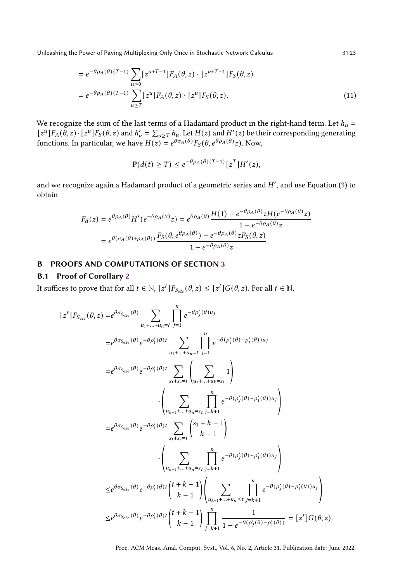$$
= e^{-\theta \rho_A(\theta)(T-1)} \sum_{u>0} [z^{u+T-1}] F_A(\theta, z) \cdot [z^{u+T-1}] F_S(\theta, z)
$$
  
= 
$$
e^{-\theta \rho_A(\theta)(T-1)} \sum_{u \ge T} [z^u] F_A(\theta, z) \cdot [z^u] F_S(\theta, z).
$$
 (11)

We recognize the sum of the last terms of a Hadamard product in the right-hand term. Let  $h_u =$  $[z^u]F_A(\theta, z) \cdot [z^u]F_S(\theta, z)$  and  $h'_u = \sum_{u \geq T} h_u$ . Let  $H(z)$  and  $H'(z)$  be their corresponding generating functions. In particular, we have  $H(z) = e^{\theta \sigma_A(\theta)} F_S(\theta, e^{\theta \rho_A(\theta)} z)$ . Now,

$$
\mathbf{P}(d(t) \geq T) \leq e^{-\theta \rho_A(\theta)(T-1)} \left[z^T\right] H'(z),
$$

and we recognize again a Hadamard product of a geometric series and  $H'$ , and use Equation [\(3\)](#page-4-3) to obtain

$$
F_d(z) = e^{\theta \rho_A(\theta)} H'(e^{-\theta \rho_A(\theta)} z) = e^{\theta \rho_A(\theta)} \frac{H(1) - e^{-\theta \rho_A(\theta)} z H(e^{-\theta \rho_A(\theta)} z)}{1 - e^{-\theta \rho_A(\theta)} z}
$$
  
=  $e^{\theta(\sigma_A(\theta) + \rho_A(\theta))} \frac{F_S(\theta, e^{\theta \rho_A(\theta)}) - e^{-\theta \rho_A(\theta)} z F_S(\theta, z)}{1 - e^{-\theta \rho_A(\theta)} z}.$ 

## B PROOFS AND COMPUTATIONS OF SECTION [3](#page-7-0)

## <span id="page-22-0"></span>B.1 Proof of Corollary [2](#page-11-0)

It suffices to prove that for all  $t \in \mathbb{N}$ ,  $[z^t]F_{S_{e2e}}(\theta, z) \leq [z^t]G(\theta, z)$ . For all  $t \in \mathbb{N}$ ,

$$
[zt]F_{S_{e2e}}(\theta, z) = e^{\theta \sigma_{S_{e2e}}(\theta)} \sum_{u_1 + ... + u_n = t} \prod_{j=1}^n e^{-\theta \rho'_j(\theta)u_j}
$$
  
\n
$$
= e^{\theta \sigma_{S_{e2e}}(\theta)} e^{-\theta \rho'_1(\theta)t} \sum_{u_1 + ... + u_n = t} \prod_{j=1}^n e^{-\theta(\rho'_j(\theta) - \rho'_1(\theta))u_j}
$$
  
\n
$$
= e^{\theta \sigma_{S_{e2e}}(\theta)} e^{-\theta \rho'_1(\theta)t} \sum_{s_1 + s_2 = t} \left( \sum_{u_1 + ... + u_k = s_1} 1 \right)
$$
  
\n
$$
\cdot \left( \sum_{u_{k+1} + ... + u_n = s_2} \prod_{j=k+1}^n e^{-\theta(\rho'_j(\theta) - \rho'_1(\theta))u_j} \right)
$$
  
\n
$$
= e^{\theta \sigma_{S_{e2e}}(\theta)} e^{-\theta \rho'_1(\theta)t} \sum_{s_1 + s_2 = t} {s_1 + k - 1 \choose k - 1}
$$
  
\n
$$
\cdot \left( \sum_{u_{k+1} + ... + u_n = s_2} \prod_{j=k+1}^n e^{-\theta(\rho'_j(\theta) - \rho'_1(\theta))u_j} \right)
$$
  
\n
$$
\leq e^{\theta \sigma_{S_{e2e}}(\theta)} e^{-\theta \rho'_1(\theta)t} {t + k - 1 \choose k - 1} \left( \sum_{u_{k+1} + ... + u_n \leq t} \prod_{j=k+1}^n e^{-\theta(\rho'_j(\theta) - \rho'_1(\theta))u_j} \right)
$$
  
\n
$$
\leq e^{\theta \sigma_{S_{e2e}}(\theta)} e^{-\theta \rho'_1(\theta)t} {t + k - 1 \choose k - 1} \prod_{j=k+1}^n \frac{1}{1 - e^{-\theta(\rho'_j(\theta) - \rho'_1(\theta))}} = [zt]G(\theta, z).
$$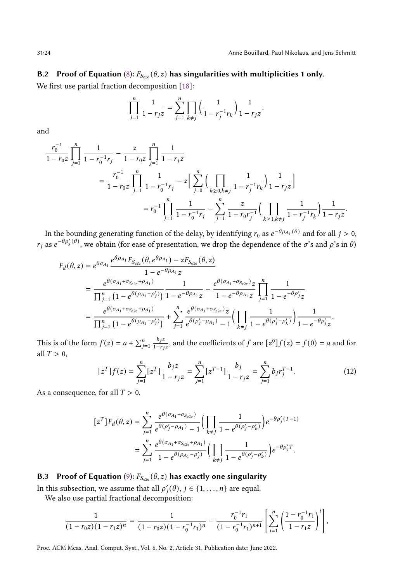# <span id="page-23-0"></span>B.2 Proof of Equation [\(8\)](#page-12-4):  $F_{S_{e2e}}(\theta, z)$  has singularities with multiplicities 1 only.

We first use partial fraction decomposition [\[18\]](#page-20-29):

$$
\prod_{j=1}^{n} \frac{1}{1 - r_j z} = \sum_{j=1}^{n} \prod_{k \neq j} \left( \frac{1}{1 - r_j^{-1} r_k} \right) \frac{1}{1 - r_j z}.
$$

and

$$
\frac{r_0^{-1}}{1 - r_0 z} \prod_{j=1}^n \frac{1}{1 - r_0^{-1} r_j} - \frac{z}{1 - r_0 z} \prod_{j=1}^n \frac{1}{1 - r_j z}
$$
\n
$$
= \frac{r_0^{-1}}{1 - r_0 z} \prod_{j=1}^n \frac{1}{1 - r_0^{-1} r_j} - z \Big[ \sum_{j=0}^n \Big( \prod_{k \ge 0, k \ne j} \frac{1}{1 - r_j^{-1} r_k} \Big) \frac{1}{1 - r_j z} \Big]
$$
\n
$$
= r_0^{-1} \prod_{j=1}^n \frac{1}{1 - r_0^{-1} r_j} - \sum_{j=1}^n \frac{z}{1 - r_0 r_j^{-1}} \Big( \prod_{k \ge 1, k \ne j} \frac{1}{1 - r_j^{-1} r_k} \Big) \frac{1}{1 - r_j z}.
$$

In the bounding generating function of the delay, by identifying  $r_0$  as  $e^{-\theta \rho_{A_1}(\theta)}$  and for all  $j > 0$ ,  $r_i$  as  $e^{-\theta \rho'_j(\theta)}$ , we obtain (for ease of presentation, we drop the dependence of the  $\sigma$ 's and  $\rho$ 's in  $\theta$ )

$$
F_d(\theta, z) = e^{\theta \sigma_{A_1}} \frac{e^{\theta \rho_{A_1}} F_{S_{e2e}}(\theta, e^{\theta \rho_{A_1}}) - z F_{S_{e2e}}(\theta, z)}{1 - e^{-\theta \rho_{A_1}} z}
$$
  
= 
$$
\frac{e^{\theta(\sigma_{A_1} + \sigma_{S_{e2e}} + \rho_{A_1})}}{\prod_{j=1}^{n} (1 - e^{\theta(\rho_{A_1} - \rho'_j)})} \frac{1}{1 - e^{-\theta \rho_{A_1}} z} - \frac{e^{\theta(\sigma_{A_1} + \sigma_{S_{e2e}})} z}{1 - e^{-\theta \rho_{A_1}} z} \prod_{j=1}^{n} \frac{1}{1 - e^{-\theta \rho'_j} z}
$$
  
= 
$$
\frac{e^{\theta(\sigma_{A_1} + \sigma_{S_{e2e}} + \rho_{A_1})}}{\prod_{j=1}^{n} (1 - e^{\theta(\rho_{A_1} - \rho'_j)})} + \sum_{j=1}^{n} \frac{e^{\theta(\sigma_{A_1} + \sigma_{S_{e2e}})} z}{e^{\theta(\rho'_j - \rho_{A_1})} - 1} \left( \prod_{k \neq j} \frac{1}{1 - e^{\theta(\rho'_j - \rho'_k)}} \right) \frac{1}{1 - e^{-\theta \rho'_j} z}.
$$

This is of the form  $f(z) = a + \sum_{j=1}^{n} \frac{b_j z}{1 - r_j}$  $\frac{b_j z}{1-r_j z}$ , and the coefficients of f are  $[z^0]f(z) = f(0) = a$  and for all  $T > 0$ ,

<span id="page-23-2"></span>
$$
[zT]f(z) = \sum_{j=1}^{n} [zT] \frac{b_j z}{1 - r_j z} = \sum_{j=1}^{n} [zT-1] \frac{b_j}{1 - r_j z} = \sum_{j=1}^{n} b_j r_j^{T-1}.
$$
 (12)

As a consequence, for all  $T > 0$ ,

$$
\begin{split} \big[z^T\big]F_d(\theta,z) & = \sum_{j=1}^n \frac{e^{\theta(\sigma_{A_1}+\sigma_{S_{e2e}})}}{e^{\theta(\rho'_j-\rho_{A_1})}-1}\bigg(\prod_{k\neq j}\frac{1}{1-e^{\theta(\rho'_j-\rho'_k)}}\bigg)e^{-\theta\rho'_j(T-1)}\\ & = \sum_{j=1}^n \frac{e^{\theta(\sigma_{A_1}+\sigma_{S_{e2e}}+\rho_{A_1})}}{1-e^{\theta(\rho_{A_1}-\rho'_j)}}\bigg(\prod_{k\neq j}\frac{1}{1-e^{\theta(\rho'_j-\rho'_k)}}\bigg)e^{-\theta\rho'_jT}. \end{split}
$$

# <span id="page-23-1"></span>B.3 Proof of Equation [\(9\)](#page-12-1):  $F_{S_{e2e}}(\theta, z)$  has exactly one singularity

In this subsection, we assume that all  $\rho'_i(\theta), j \in \{1, \ldots, n\}$  are equal.

We also use partial fractional decomposition:

$$
\frac{1}{(1-r_0z)(1-r_1z)^n}=\frac{1}{(1-r_0z)(1-r_0^{-1}r_1)^n}-\frac{r_0^{-1}r_1}{(1-r_0^{-1}r_1)^{n+1}}\left[\sum_{i=1}^n\left(\frac{1-r_0^{-1}r_1}{1-r_1z}\right)^i\right],
$$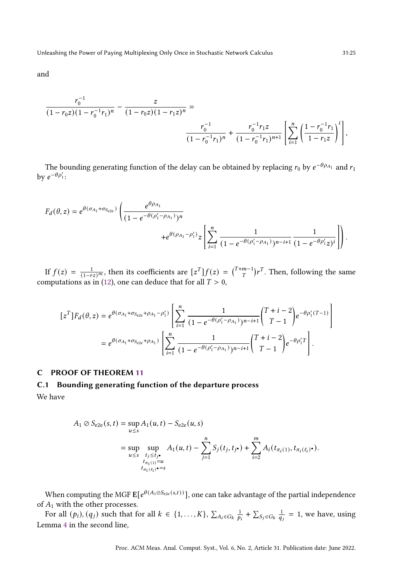$$
\begin{split} \frac{r_0^{-1}}{(1-r_0z)(1-r_0^{-1}r_1)^n} - \frac{z}{(1-r_0z)(1-r_1z)^n} &= \\ \frac{r_0^{-1}}{(1-r_0^{-1}r_1)^n} + \frac{r_0^{-1}r_1z}{(1-r_0^{-1}r_1)^{n+1}} \left[ \sum_{i=1}^n \left( \frac{1-r_0^{-1}r_1}{1-r_1z} \right)^i \right], \end{split}
$$

The bounding generating function of the delay can be obtained by replacing  $r_0$  by  $e^{-\theta \rho_{A_1}}$  and  $r_1$ by  $e^{-\theta \rho'_1}$ :

$$
F_d(\theta, z) = e^{\theta(\sigma_{A_1} + \sigma_{S_{e2e}})} \left( \frac{e^{\theta \rho_{A_1}}}{(1 - e^{-\theta(\rho_1' - \rho_{A_1})})^n} + e^{\theta(\rho_{A_1} - \rho_1')} z \left[ \sum_{i=1}^n \frac{1}{(1 - e^{-\theta(\rho_1' - \rho_{A_1})})^{n-i+1}} \frac{1}{(1 - e^{-\theta \rho_1'} z)^i} \right] \right).
$$

If  $f(z) = \frac{1}{(1-rz)^m}$ , then its coefficients are  $[z^T]f(z) = {T+m-1 \choose T}r^T$ . Then, following the same computations as in [\(12\)](#page-23-2), one can deduce that for all  $T > 0$ ,

$$
[zT]Fd(\theta, z) = e^{\theta(\sigma_{A_1} + \sigma_{S_{e2e}} + \rho_{A_1} - \rho'_1)} \left[ \sum_{i=1}^{n} \frac{1}{(1 - e^{-\theta(\rho'_1 - \rho_{A_1})})^{n-i+1}} \binom{T + i - 2}{T - 1} e^{-\theta \rho'_1(T - 1)} \right]
$$
  
=  $e^{\theta(\sigma_{A_1} + \sigma_{S_{e2e}} + \rho_{A_1})} \left[ \sum_{i=1}^{n} \frac{1}{(1 - e^{-\theta(\rho'_1 - \rho_{A_1})})^{n-i+1}} \binom{T + i - 2}{T - 1} e^{-\theta \rho'_1 T} \right].$ 

## <span id="page-24-0"></span>C PROOF OF THEOREM [11](#page-17-2)

# C.1 Bounding generating function of the departure process

We have

<sup>1</sup> ⊘ e2e (, ) = sup ≤ <sup>1</sup> (, ) − e2e (, ) = sup ≤ sup ≤ • 1 (1)= 1 (ℓ1 ) •= <sup>1</sup> (, ) − ∑︁ =1 ( , • ) + ∑︁ =2 ( (1) , (ℓ ) • ).

When computing the MGF  $\mathbf{E}[e^{\theta(A_1 \otimes S_{e2e}(s,t))}]$ , one can take advantage of the partial independence of  $A_1$  with the other processes.

For all  $(p_i)$ ,  $(q_j)$  such that for all  $k \in \{1, ..., K\}$ ,  $\sum_{A_i \in G_k} \frac{1}{p_i} + \sum_{S_j \in G_k} \frac{1}{q_i} = 1$ , we have, using Lemma [4](#page-16-3) in the second line,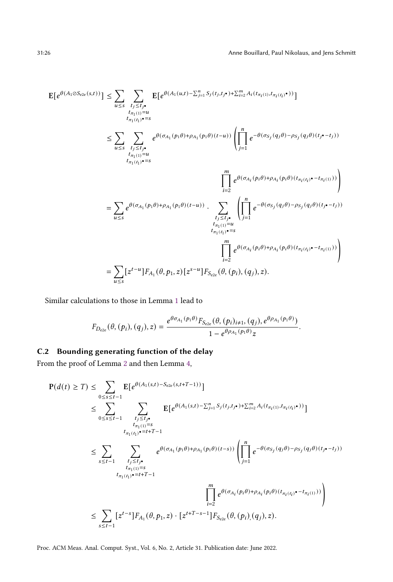.

$$
E[e^{\theta(A_{1}\odot S_{e2e}(s,t))}] \leq \sum_{u\leq s} \sum_{\substack{t_{j}\leq t_{j}\leftarrow t_{\pi_{1}(i_{1})=u\\ t_{\pi_{1}(i_{1})}=u}}}\nE[e^{\theta(A_{1}(u,t)-\sum_{j=1}^{n}S_{j}(t_{j},t_{j}\bullet)+\sum_{i=2}^{m}A_{i}(t_{\pi_{i}(i)},t_{\pi_{i}(i_{i})}\bullet))}]
$$
\n
$$
\leq \sum_{u\leq s} \sum_{\substack{t_{j}\leq t_{j}\leftarrow t_{\pi_{1}(i_{1})=u\\ t_{\pi_{1}(i_{1})}=u}}}\n\begin{array}{c} e^{\theta(\sigma_{A_{1}}(p_{1}\theta)+\rho_{A_{1}}(p_{1}\theta)(t-u))} \left( \prod_{j=1}^{n} e^{-\theta(\sigma_{S_{j}}(q_{j}\theta)-\rho_{S_{j}}(q_{j}\theta)(t_{j}\bullet-t_{j}))} \right. \\ \left. \prod_{i=2}^{m} e^{\theta(\sigma_{A_{i}}(p_{i}\theta)+\rho_{A_{i}}(p_{i}\theta)(t_{\pi_{i}(i_{1})}\bullet-t_{\pi_{i}(i)}))} \right) \right. \\ \left. - \sum_{u\leq s} e^{\theta(\sigma_{A_{1}}(p_{1}\theta)+\rho_{A_{1}}(p_{1}\theta)(t-u))} \cdot \sum_{\substack{t_{j}\leq t_{j}\leftarrow t_{\pi_{1}(i_{1})=s\\ t_{\pi_{1}(i_{1})}=s}}}\n\begin{array}{c} \prod_{i=1}^{m} e^{-\theta(\sigma_{S_{j}}(q_{j}\theta)-\rho_{S_{j}}(q_{j}\theta)(t_{j}\bullet-t_{j}))} \\ \left. \prod_{i=2}^{m} e^{\theta(\sigma_{A_{i}}(p_{i}\theta)+\rho_{A_{i}}(p_{i}\theta)(t_{\pi_{i}(i_{1})}\bullet-t_{\pi_{i}(i)}))} \right) \end{array} \right.
$$

Similar calculations to those in Lemma [1](#page-5-1) lead to

$$
F_{D_{e2e}}(\theta, (p_i), (q_j), z) = \frac{e^{\theta \sigma_{A_1}(p_1 \theta)} F_{S_{e2e}}(\theta, (p_i)_{i \neq 1}, (q_j), e^{\theta \rho_{A_1}(p_1 \theta)})}{1 - e^{\theta \rho_{A_1}(p_1 \theta)} z}
$$

## C.2 Bounding generating function of the delay

From the proof of Lemma [2](#page-6-1) and then Lemma [4,](#page-16-3)

$$
P(d(t) \geq T) \leq \sum_{0 \leq s \leq t-1} E[e^{\theta(A_1(s,t) - S_{e2e}(s,t+T-1))}]
$$
  
\n
$$
\leq \sum_{0 \leq s \leq t-1} \sum_{\substack{t_j \leq t_j, \\ t_{\pi_1(t)} = s}} E[e^{\theta(A_1(s,t) - \sum_{j=1}^n S_j(t_j,t_j \cdot \cdot) + \sum_{i=2}^m A_i(t_{\pi_i(1)},t_{\pi_i(t_i)} \cdot \cdot))}]
$$
  
\n
$$
\leq \sum_{s \leq t-1} \sum_{\substack{t_j \leq t_j, \\ t_{\pi_1(t)} = s}} e^{\theta(\sigma_{A_1}(p_1\theta) + \rho_{A_1}(p_1\theta)(t-s))} \left(\prod_{j=1}^n e^{-\theta(\sigma_{S_j}(q_j\theta) - \rho_{S_j}(q_j\theta)(t_j \cdot - t_j))}\right)
$$
  
\n
$$
\leq \sum_{s \leq t-1} [z^{t-s}]F_{A_1}(\theta, p_1, z) \cdot [z^{t+T-s-1}]F_{S_{e2e}}(\theta, (p_i), (q_j), z).
$$